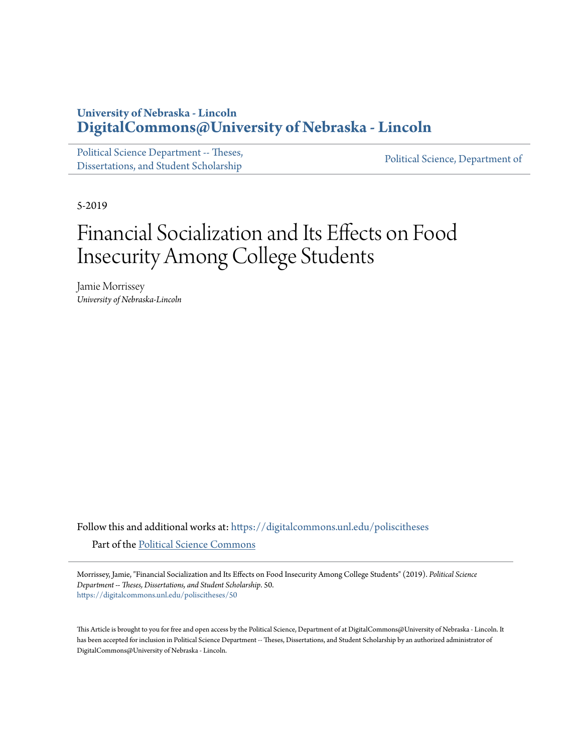### **University of Nebraska - Lincoln [DigitalCommons@University of Nebraska - Lincoln](https://digitalcommons.unl.edu?utm_source=digitalcommons.unl.edu%2Fpoliscitheses%2F50&utm_medium=PDF&utm_campaign=PDFCoverPages)**

[Political Science Department -- Theses,](https://digitalcommons.unl.edu/poliscitheses?utm_source=digitalcommons.unl.edu%2Fpoliscitheses%2F50&utm_medium=PDF&utm_campaign=PDFCoverPages) Political Science, Department of [Dissertations, and Student Scholarship](https://digitalcommons.unl.edu/poliscitheses?utm_source=digitalcommons.unl.edu%2Fpoliscitheses%2F50&utm_medium=PDF&utm_campaign=PDFCoverPages) [Political Science, Department of](https://digitalcommons.unl.edu/politicalscience?utm_source=digitalcommons.unl.edu%2Fpoliscitheses%2F50&utm_medium=PDF&utm_campaign=PDFCoverPages)

5-2019

# Financial Socialization and Its Effects on Food Insecurity Among College Students

Jamie Morrissey *University of Nebraska-Lincoln*

Follow this and additional works at: [https://digitalcommons.unl.edu/poliscitheses](https://digitalcommons.unl.edu/poliscitheses?utm_source=digitalcommons.unl.edu%2Fpoliscitheses%2F50&utm_medium=PDF&utm_campaign=PDFCoverPages) Part of the [Political Science Commons](http://network.bepress.com/hgg/discipline/386?utm_source=digitalcommons.unl.edu%2Fpoliscitheses%2F50&utm_medium=PDF&utm_campaign=PDFCoverPages)

Morrissey, Jamie, "Financial Socialization and Its Effects on Food Insecurity Among College Students" (2019). *Political Science Department -- Theses, Dissertations, and Student Scholarship*. 50. [https://digitalcommons.unl.edu/poliscitheses/50](https://digitalcommons.unl.edu/poliscitheses/50?utm_source=digitalcommons.unl.edu%2Fpoliscitheses%2F50&utm_medium=PDF&utm_campaign=PDFCoverPages)

This Article is brought to you for free and open access by the Political Science, Department of at DigitalCommons@University of Nebraska - Lincoln. It has been accepted for inclusion in Political Science Department -- Theses, Dissertations, and Student Scholarship by an authorized administrator of DigitalCommons@University of Nebraska - Lincoln.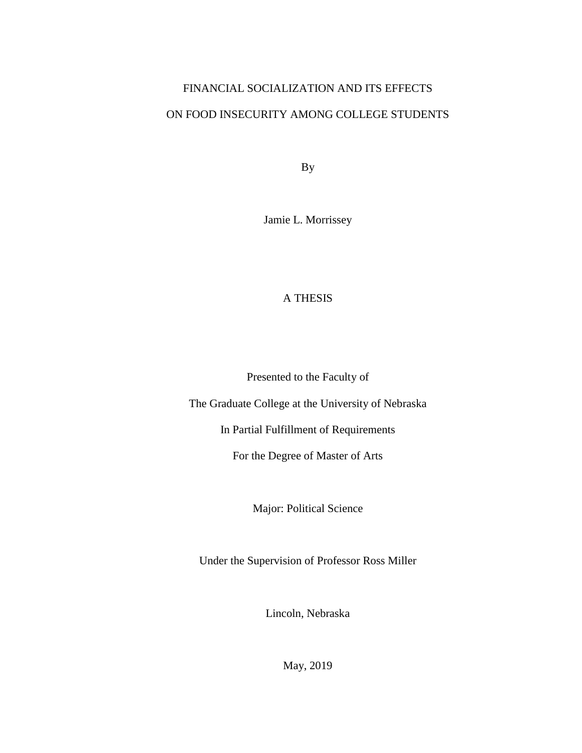# FINANCIAL SOCIALIZATION AND ITS EFFECTS ON FOOD INSECURITY AMONG COLLEGE STUDENTS

By

Jamie L. Morrissey

### A THESIS

Presented to the Faculty of

The Graduate College at the University of Nebraska

In Partial Fulfillment of Requirements

For the Degree of Master of Arts

Major: Political Science

Under the Supervision of Professor Ross Miller

Lincoln, Nebraska

May, 2019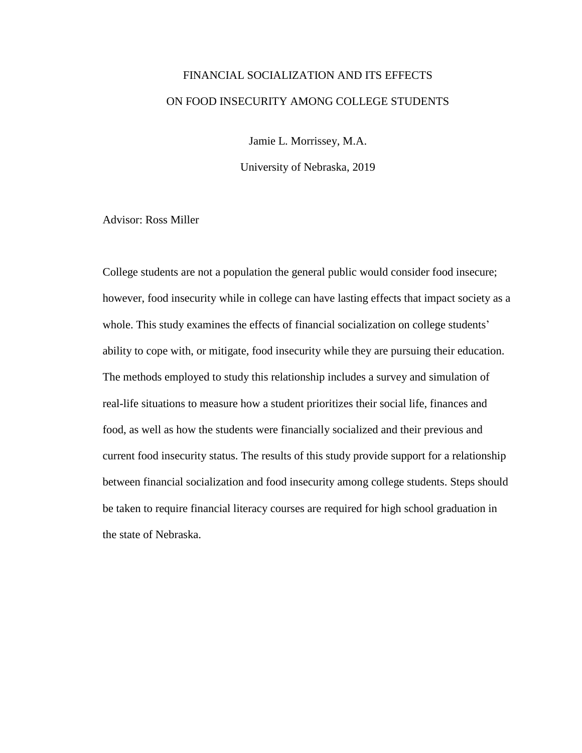## FINANCIAL SOCIALIZATION AND ITS EFFECTS ON FOOD INSECURITY AMONG COLLEGE STUDENTS

Jamie L. Morrissey, M.A.

University of Nebraska, 2019

Advisor: Ross Miller

College students are not a population the general public would consider food insecure; however, food insecurity while in college can have lasting effects that impact society as a whole. This study examines the effects of financial socialization on college students' ability to cope with, or mitigate, food insecurity while they are pursuing their education. The methods employed to study this relationship includes a survey and simulation of real-life situations to measure how a student prioritizes their social life, finances and food, as well as how the students were financially socialized and their previous and current food insecurity status. The results of this study provide support for a relationship between financial socialization and food insecurity among college students. Steps should be taken to require financial literacy courses are required for high school graduation in the state of Nebraska.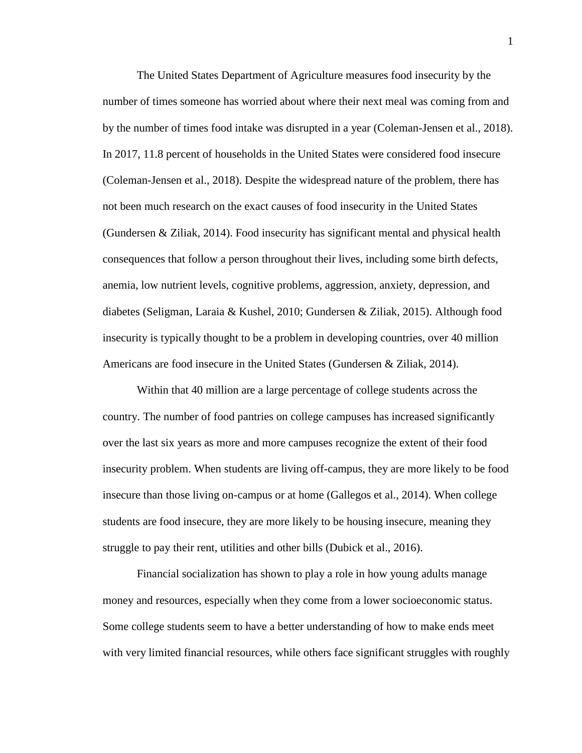The United States Department of Agriculture measures food insecurity by the number of times someone has worried about where their next meal was coming from and by the number of times food intake was disrupted in a year (Coleman-Jensen et al., 2018). In 2017, 11.8 percent of households in the United States were considered food insecure (Coleman-Jensen et al., 2018). Despite the widespread nature of the problem, there has not been much research on the exact causes of food insecurity in the United States (Gundersen & Ziliak, 2014). Food insecurity has significant mental and physical health consequences that follow a person throughout their lives, including some birth defects, anemia, low nutrient levels, cognitive problems, aggression, anxiety, depression, and diabetes (Seligman, Laraia & Kushel, 2010; Gundersen & Ziliak, 2015). Although food insecurity is typically thought to be a problem in developing countries, over 40 million Americans are food insecure in the United States (Gundersen & Ziliak, 2014).

Within that 40 million are a large percentage of college students across the country. The number of food pantries on college campuses has increased significantly over the last six years as more and more campuses recognize the extent of their food insecurity problem. When students are living off-campus, they are more likely to be food insecure than those living on-campus or at home (Gallegos et al., 2014). When college students are food insecure, they are more likely to be housing insecure, meaning they struggle to pay their rent, utilities and other bills (Dubick et al., 2016).

Financial socialization has shown to play a role in how young adults manage money and resources, especially when they come from a lower socioeconomic status. Some college students seem to have a better understanding of how to make ends meet with very limited financial resources, while others face significant struggles with roughly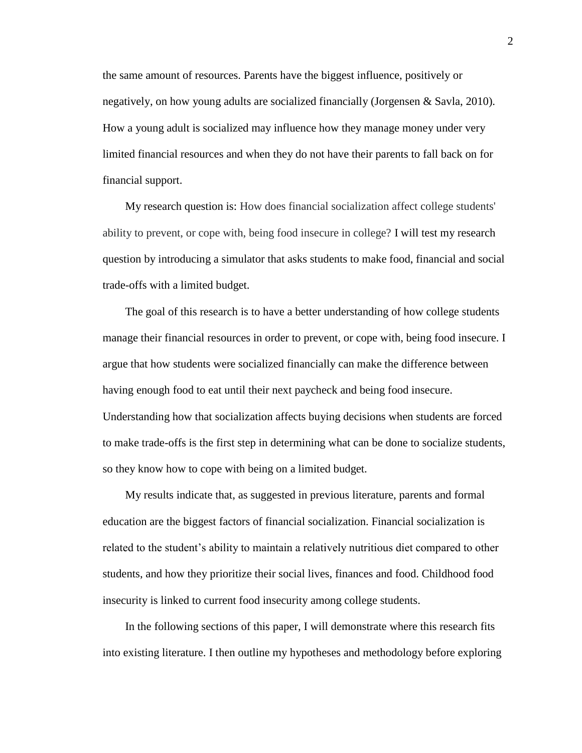the same amount of resources. Parents have the biggest influence, positively or negatively, on how young adults are socialized financially (Jorgensen & Savla, 2010). How a young adult is socialized may influence how they manage money under very limited financial resources and when they do not have their parents to fall back on for financial support.

My research question is: How does financial socialization affect college students' ability to prevent, or cope with, being food insecure in college? I will test my research question by introducing a simulator that asks students to make food, financial and social trade-offs with a limited budget.

The goal of this research is to have a better understanding of how college students manage their financial resources in order to prevent, or cope with, being food insecure. I argue that how students were socialized financially can make the difference between having enough food to eat until their next paycheck and being food insecure. Understanding how that socialization affects buying decisions when students are forced to make trade-offs is the first step in determining what can be done to socialize students, so they know how to cope with being on a limited budget.

My results indicate that, as suggested in previous literature, parents and formal education are the biggest factors of financial socialization. Financial socialization is related to the student's ability to maintain a relatively nutritious diet compared to other students, and how they prioritize their social lives, finances and food. Childhood food insecurity is linked to current food insecurity among college students.

In the following sections of this paper, I will demonstrate where this research fits into existing literature. I then outline my hypotheses and methodology before exploring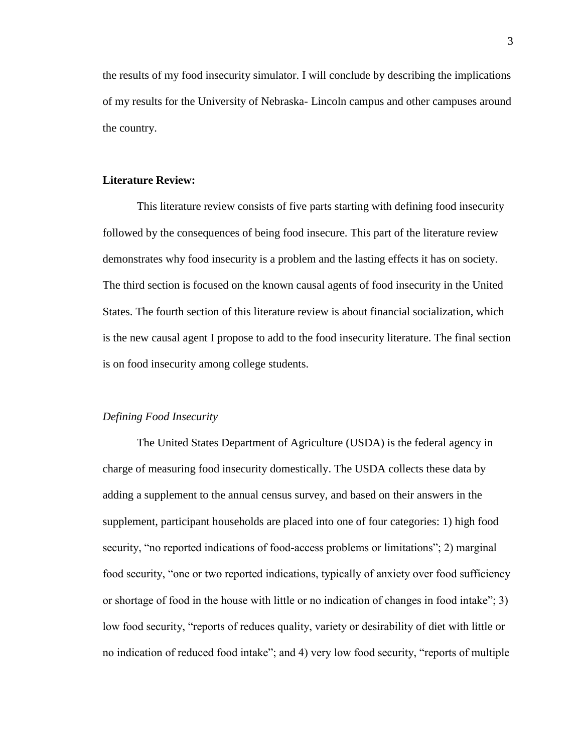the results of my food insecurity simulator. I will conclude by describing the implications of my results for the University of Nebraska- Lincoln campus and other campuses around the country.

#### **Literature Review:**

This literature review consists of five parts starting with defining food insecurity followed by the consequences of being food insecure. This part of the literature review demonstrates why food insecurity is a problem and the lasting effects it has on society. The third section is focused on the known causal agents of food insecurity in the United States. The fourth section of this literature review is about financial socialization, which is the new causal agent I propose to add to the food insecurity literature. The final section is on food insecurity among college students.

#### *Defining Food Insecurity*

The United States Department of Agriculture (USDA) is the federal agency in charge of measuring food insecurity domestically. The USDA collects these data by adding a supplement to the annual census survey, and based on their answers in the supplement, participant households are placed into one of four categories: 1) high food security, "no reported indications of food-access problems or limitations"; 2) marginal food security, "one or two reported indications, typically of anxiety over food sufficiency or shortage of food in the house with little or no indication of changes in food intake"; 3) low food security, "reports of reduces quality, variety or desirability of diet with little or no indication of reduced food intake"; and 4) very low food security, "reports of multiple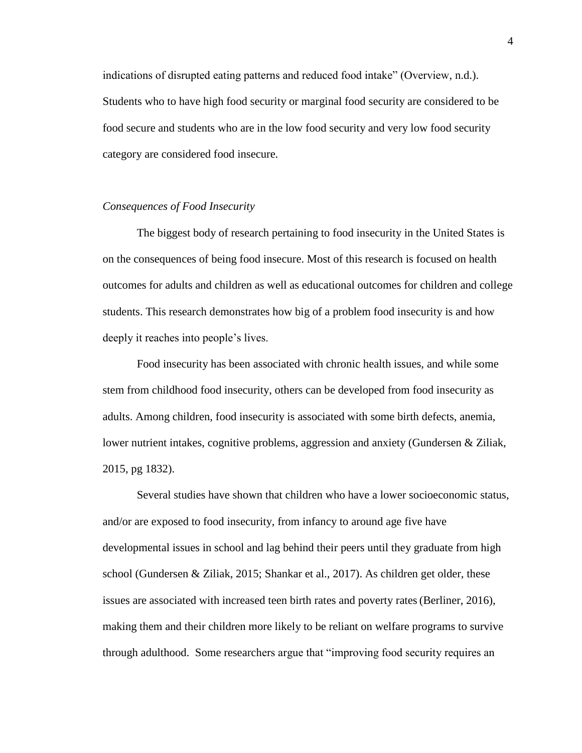indications of disrupted eating patterns and reduced food intake" (Overview, n.d.). Students who to have high food security or marginal food security are considered to be food secure and students who are in the low food security and very low food security category are considered food insecure.

#### *Consequences of Food Insecurity*

The biggest body of research pertaining to food insecurity in the United States is on the consequences of being food insecure. Most of this research is focused on health outcomes for adults and children as well as educational outcomes for children and college students. This research demonstrates how big of a problem food insecurity is and how deeply it reaches into people's lives.

Food insecurity has been associated with chronic health issues, and while some stem from childhood food insecurity, others can be developed from food insecurity as adults. Among children, food insecurity is associated with some birth defects, anemia, lower nutrient intakes, cognitive problems, aggression and anxiety (Gundersen & Ziliak, 2015, pg 1832).

Several studies have shown that children who have a lower socioeconomic status, and/or are exposed to food insecurity, from infancy to around age five have developmental issues in school and lag behind their peers until they graduate from high school (Gundersen & Ziliak, 2015; Shankar et al., 2017). As children get older, these issues are associated with increased teen birth rates and poverty rates (Berliner, 2016), making them and their children more likely to be reliant on welfare programs to survive through adulthood. Some researchers argue that "improving food security requires an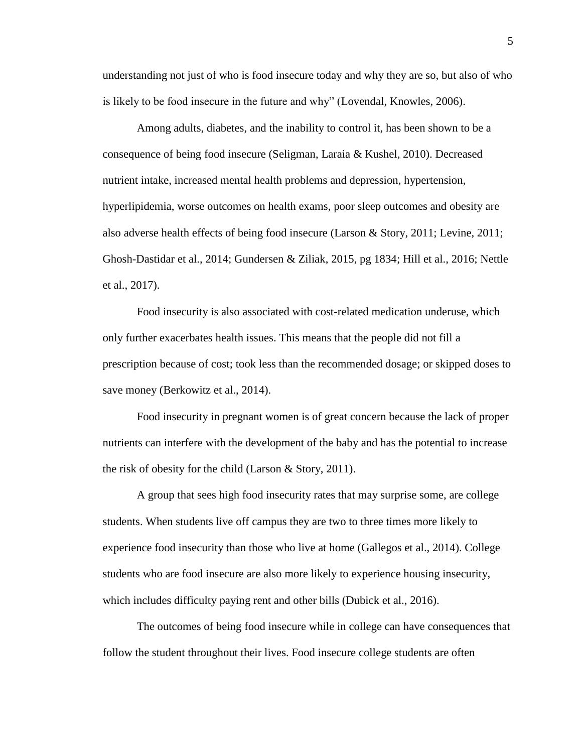understanding not just of who is food insecure today and why they are so, but also of who is likely to be food insecure in the future and why" (Lovendal, Knowles, 2006).

Among adults, diabetes, and the inability to control it, has been shown to be a consequence of being food insecure (Seligman, Laraia & Kushel, 2010). Decreased nutrient intake, increased mental health problems and depression, hypertension, hyperlipidemia, worse outcomes on health exams, poor sleep outcomes and obesity are also adverse health effects of being food insecure (Larson & Story, 2011; Levine, 2011; Ghosh-Dastidar et al., 2014; Gundersen & Ziliak, 2015, pg 1834; Hill et al., 2016; Nettle et al., 2017).

Food insecurity is also associated with cost-related medication underuse, which only further exacerbates health issues. This means that the people did not fill a prescription because of cost; took less than the recommended dosage; or skipped doses to save money (Berkowitz et al., 2014).

Food insecurity in pregnant women is of great concern because the lack of proper nutrients can interfere with the development of the baby and has the potential to increase the risk of obesity for the child (Larson & Story, 2011).

A group that sees high food insecurity rates that may surprise some, are college students. When students live off campus they are two to three times more likely to experience food insecurity than those who live at home (Gallegos et al., 2014). College students who are food insecure are also more likely to experience housing insecurity, which includes difficulty paying rent and other bills (Dubick et al., 2016).

The outcomes of being food insecure while in college can have consequences that follow the student throughout their lives. Food insecure college students are often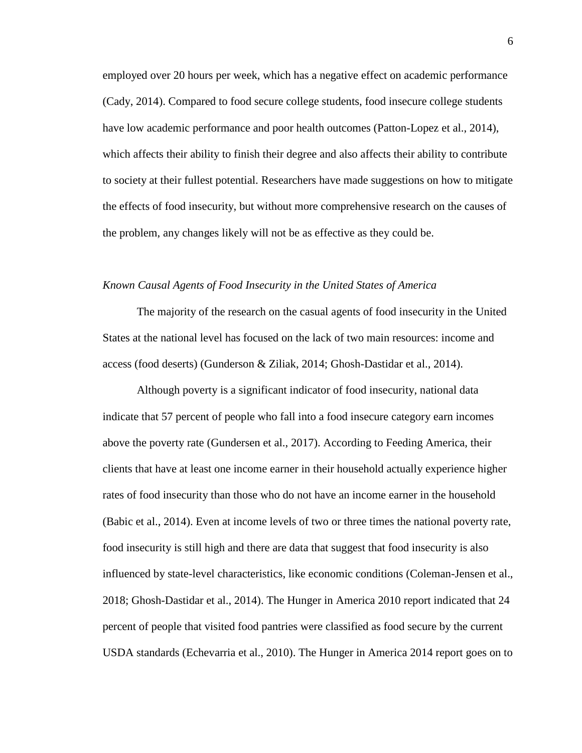employed over 20 hours per week, which has a negative effect on academic performance (Cady, 2014). Compared to food secure college students, food insecure college students have low academic performance and poor health outcomes (Patton-Lopez et al., 2014), which affects their ability to finish their degree and also affects their ability to contribute to society at their fullest potential. Researchers have made suggestions on how to mitigate the effects of food insecurity, but without more comprehensive research on the causes of the problem, any changes likely will not be as effective as they could be.

#### *Known Causal Agents of Food Insecurity in the United States of America*

The majority of the research on the casual agents of food insecurity in the United States at the national level has focused on the lack of two main resources: income and access (food deserts) (Gunderson & Ziliak, 2014; Ghosh-Dastidar et al., 2014).

Although poverty is a significant indicator of food insecurity, national data indicate that 57 percent of people who fall into a food insecure category earn incomes above the poverty rate (Gundersen et al., 2017). According to Feeding America, their clients that have at least one income earner in their household actually experience higher rates of food insecurity than those who do not have an income earner in the household (Babic et al., 2014). Even at income levels of two or three times the national poverty rate, food insecurity is still high and there are data that suggest that food insecurity is also influenced by state-level characteristics, like economic conditions (Coleman-Jensen et al., 2018; Ghosh-Dastidar et al., 2014). The Hunger in America 2010 report indicated that 24 percent of people that visited food pantries were classified as food secure by the current USDA standards (Echevarria et al., 2010). The Hunger in America 2014 report goes on to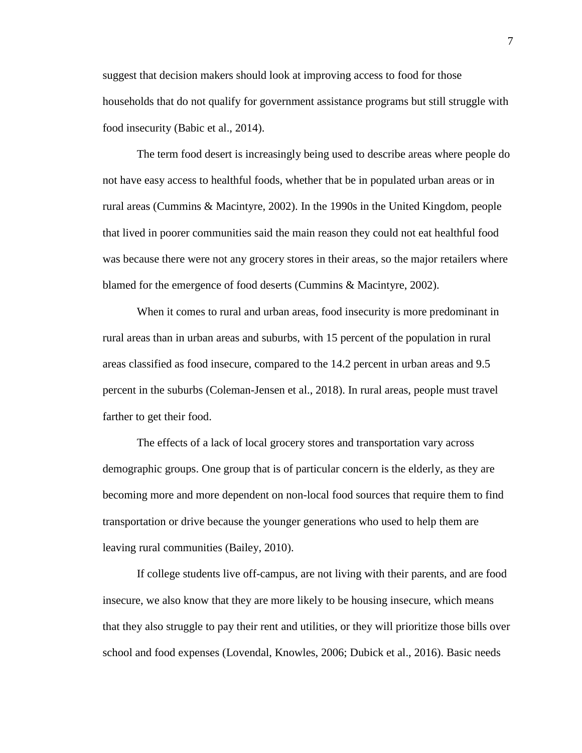suggest that decision makers should look at improving access to food for those households that do not qualify for government assistance programs but still struggle with food insecurity (Babic et al., 2014).

The term food desert is increasingly being used to describe areas where people do not have easy access to healthful foods, whether that be in populated urban areas or in rural areas (Cummins & Macintyre, 2002). In the 1990s in the United Kingdom, people that lived in poorer communities said the main reason they could not eat healthful food was because there were not any grocery stores in their areas, so the major retailers where blamed for the emergence of food deserts (Cummins & Macintyre, 2002).

When it comes to rural and urban areas, food insecurity is more predominant in rural areas than in urban areas and suburbs, with 15 percent of the population in rural areas classified as food insecure, compared to the 14.2 percent in urban areas and 9.5 percent in the suburbs (Coleman-Jensen et al., 2018). In rural areas, people must travel farther to get their food.

The effects of a lack of local grocery stores and transportation vary across demographic groups. One group that is of particular concern is the elderly, as they are becoming more and more dependent on non-local food sources that require them to find transportation or drive because the younger generations who used to help them are leaving rural communities (Bailey, 2010).

If college students live off-campus, are not living with their parents, and are food insecure, we also know that they are more likely to be housing insecure, which means that they also struggle to pay their rent and utilities, or they will prioritize those bills over school and food expenses (Lovendal, Knowles, 2006; Dubick et al., 2016). Basic needs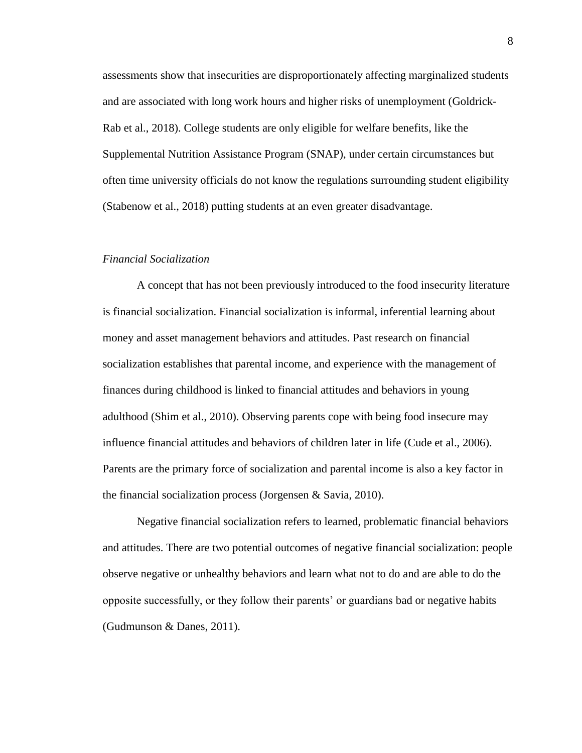assessments show that insecurities are disproportionately affecting marginalized students and are associated with long work hours and higher risks of unemployment (Goldrick-Rab et al., 2018). College students are only eligible for welfare benefits, like the Supplemental Nutrition Assistance Program (SNAP), under certain circumstances but often time university officials do not know the regulations surrounding student eligibility (Stabenow et al., 2018) putting students at an even greater disadvantage.

#### *Financial Socialization*

A concept that has not been previously introduced to the food insecurity literature is financial socialization. Financial socialization is informal, inferential learning about money and asset management behaviors and attitudes. Past research on financial socialization establishes that parental income, and experience with the management of finances during childhood is linked to financial attitudes and behaviors in young adulthood (Shim et al., 2010). Observing parents cope with being food insecure may influence financial attitudes and behaviors of children later in life (Cude et al., 2006). Parents are the primary force of socialization and parental income is also a key factor in the financial socialization process (Jorgensen & Savia, 2010).

Negative financial socialization refers to learned, problematic financial behaviors and attitudes. There are two potential outcomes of negative financial socialization: people observe negative or unhealthy behaviors and learn what not to do and are able to do the opposite successfully, or they follow their parents' or guardians bad or negative habits (Gudmunson & Danes, 2011).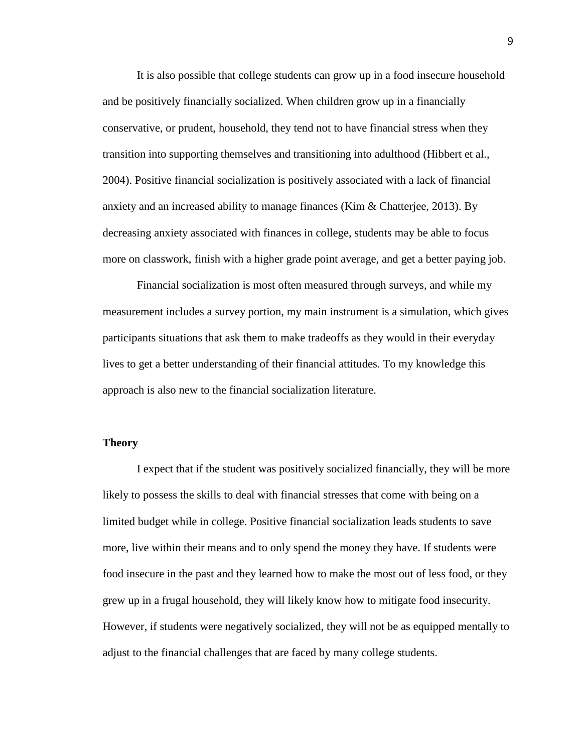It is also possible that college students can grow up in a food insecure household and be positively financially socialized. When children grow up in a financially conservative, or prudent, household, they tend not to have financial stress when they transition into supporting themselves and transitioning into adulthood (Hibbert et al., 2004). Positive financial socialization is positively associated with a lack of financial anxiety and an increased ability to manage finances (Kim & Chatterjee, 2013). By decreasing anxiety associated with finances in college, students may be able to focus more on classwork, finish with a higher grade point average, and get a better paying job.

Financial socialization is most often measured through surveys, and while my measurement includes a survey portion, my main instrument is a simulation, which gives participants situations that ask them to make tradeoffs as they would in their everyday lives to get a better understanding of their financial attitudes. To my knowledge this approach is also new to the financial socialization literature.

#### **Theory**

I expect that if the student was positively socialized financially, they will be more likely to possess the skills to deal with financial stresses that come with being on a limited budget while in college. Positive financial socialization leads students to save more, live within their means and to only spend the money they have. If students were food insecure in the past and they learned how to make the most out of less food, or they grew up in a frugal household, they will likely know how to mitigate food insecurity. However, if students were negatively socialized, they will not be as equipped mentally to adjust to the financial challenges that are faced by many college students.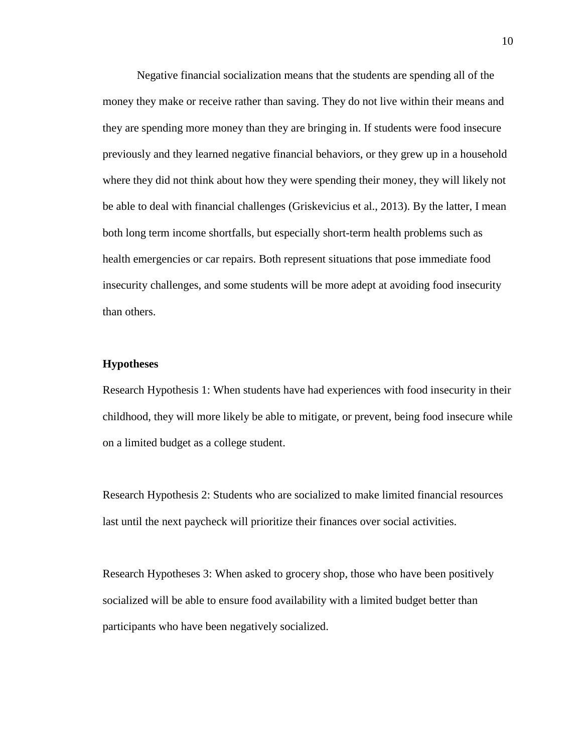Negative financial socialization means that the students are spending all of the money they make or receive rather than saving. They do not live within their means and they are spending more money than they are bringing in. If students were food insecure previously and they learned negative financial behaviors, or they grew up in a household where they did not think about how they were spending their money, they will likely not be able to deal with financial challenges (Griskevicius et al., 2013). By the latter, I mean both long term income shortfalls, but especially short-term health problems such as health emergencies or car repairs. Both represent situations that pose immediate food insecurity challenges, and some students will be more adept at avoiding food insecurity than others.

#### **Hypotheses**

Research Hypothesis 1: When students have had experiences with food insecurity in their childhood, they will more likely be able to mitigate, or prevent, being food insecure while on a limited budget as a college student.

Research Hypothesis 2: Students who are socialized to make limited financial resources last until the next paycheck will prioritize their finances over social activities.

Research Hypotheses 3: When asked to grocery shop, those who have been positively socialized will be able to ensure food availability with a limited budget better than participants who have been negatively socialized.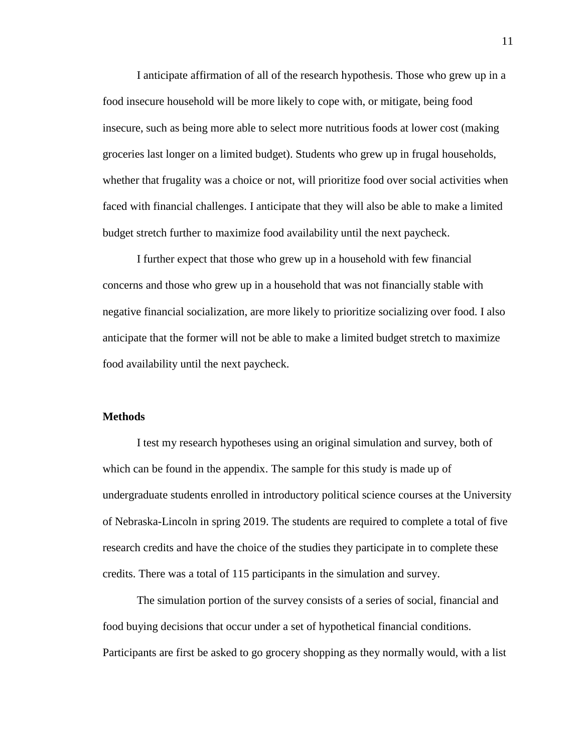I anticipate affirmation of all of the research hypothesis. Those who grew up in a food insecure household will be more likely to cope with, or mitigate, being food insecure, such as being more able to select more nutritious foods at lower cost (making groceries last longer on a limited budget). Students who grew up in frugal households, whether that frugality was a choice or not, will prioritize food over social activities when faced with financial challenges. I anticipate that they will also be able to make a limited budget stretch further to maximize food availability until the next paycheck.

I further expect that those who grew up in a household with few financial concerns and those who grew up in a household that was not financially stable with negative financial socialization, are more likely to prioritize socializing over food. I also anticipate that the former will not be able to make a limited budget stretch to maximize food availability until the next paycheck.

#### **Methods**

I test my research hypotheses using an original simulation and survey, both of which can be found in the appendix. The sample for this study is made up of undergraduate students enrolled in introductory political science courses at the University of Nebraska-Lincoln in spring 2019. The students are required to complete a total of five research credits and have the choice of the studies they participate in to complete these credits. There was a total of 115 participants in the simulation and survey.

The simulation portion of the survey consists of a series of social, financial and food buying decisions that occur under a set of hypothetical financial conditions. Participants are first be asked to go grocery shopping as they normally would, with a list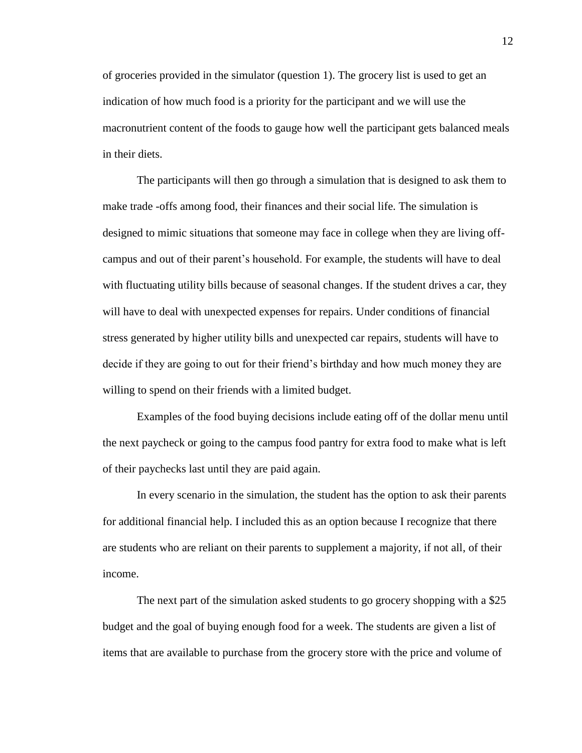of groceries provided in the simulator (question 1). The grocery list is used to get an indication of how much food is a priority for the participant and we will use the macronutrient content of the foods to gauge how well the participant gets balanced meals in their diets.

The participants will then go through a simulation that is designed to ask them to make trade -offs among food, their finances and their social life. The simulation is designed to mimic situations that someone may face in college when they are living offcampus and out of their parent's household. For example, the students will have to deal with fluctuating utility bills because of seasonal changes. If the student drives a car, they will have to deal with unexpected expenses for repairs. Under conditions of financial stress generated by higher utility bills and unexpected car repairs, students will have to decide if they are going to out for their friend's birthday and how much money they are willing to spend on their friends with a limited budget.

Examples of the food buying decisions include eating off of the dollar menu until the next paycheck or going to the campus food pantry for extra food to make what is left of their paychecks last until they are paid again.

In every scenario in the simulation, the student has the option to ask their parents for additional financial help. I included this as an option because I recognize that there are students who are reliant on their parents to supplement a majority, if not all, of their income.

The next part of the simulation asked students to go grocery shopping with a \$25 budget and the goal of buying enough food for a week. The students are given a list of items that are available to purchase from the grocery store with the price and volume of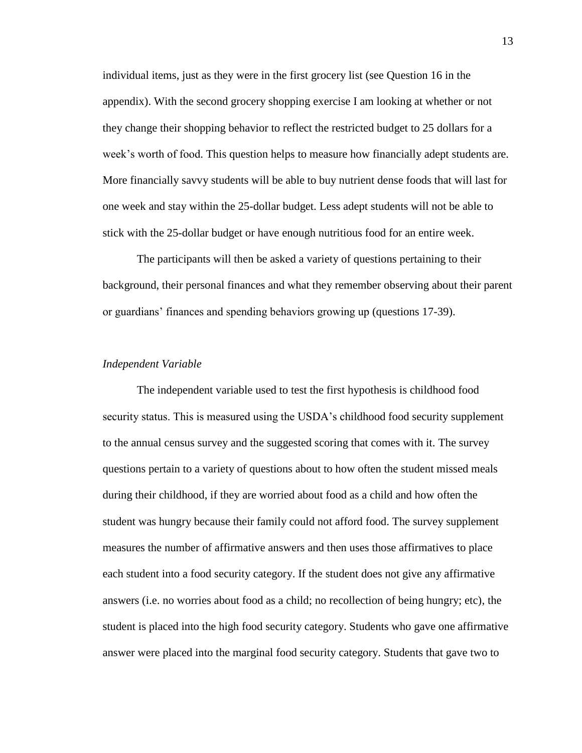individual items, just as they were in the first grocery list (see Question 16 in the appendix). With the second grocery shopping exercise I am looking at whether or not they change their shopping behavior to reflect the restricted budget to 25 dollars for a week's worth of food. This question helps to measure how financially adept students are. More financially savvy students will be able to buy nutrient dense foods that will last for one week and stay within the 25-dollar budget. Less adept students will not be able to stick with the 25-dollar budget or have enough nutritious food for an entire week.

The participants will then be asked a variety of questions pertaining to their background, their personal finances and what they remember observing about their parent or guardians' finances and spending behaviors growing up (questions 17-39).

#### *Independent Variable*

The independent variable used to test the first hypothesis is childhood food security status. This is measured using the USDA's childhood food security supplement to the annual census survey and the suggested scoring that comes with it. The survey questions pertain to a variety of questions about to how often the student missed meals during their childhood, if they are worried about food as a child and how often the student was hungry because their family could not afford food. The survey supplement measures the number of affirmative answers and then uses those affirmatives to place each student into a food security category. If the student does not give any affirmative answers (i.e. no worries about food as a child; no recollection of being hungry; etc), the student is placed into the high food security category. Students who gave one affirmative answer were placed into the marginal food security category. Students that gave two to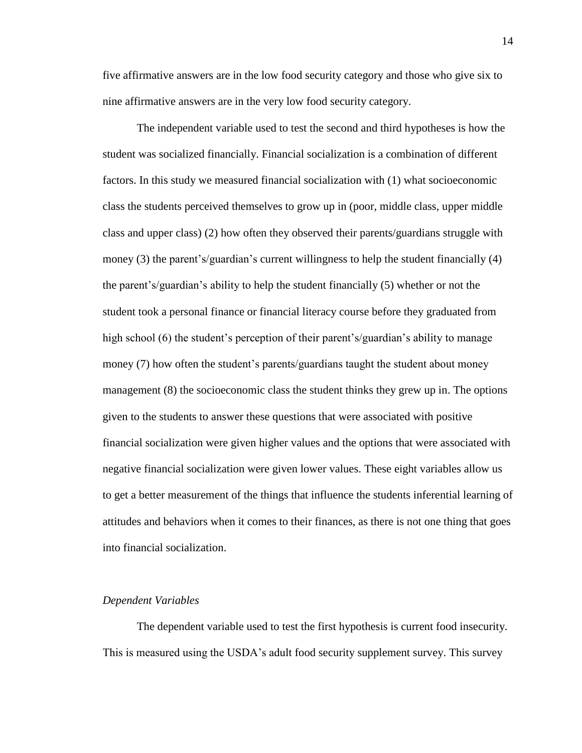five affirmative answers are in the low food security category and those who give six to nine affirmative answers are in the very low food security category.

The independent variable used to test the second and third hypotheses is how the student was socialized financially. Financial socialization is a combination of different factors. In this study we measured financial socialization with (1) what socioeconomic class the students perceived themselves to grow up in (poor, middle class, upper middle class and upper class) (2) how often they observed their parents/guardians struggle with money (3) the parent's/guardian's current willingness to help the student financially (4) the parent's/guardian's ability to help the student financially (5) whether or not the student took a personal finance or financial literacy course before they graduated from high school (6) the student's perception of their parent's/guardian's ability to manage money (7) how often the student's parents/guardians taught the student about money management (8) the socioeconomic class the student thinks they grew up in. The options given to the students to answer these questions that were associated with positive financial socialization were given higher values and the options that were associated with negative financial socialization were given lower values. These eight variables allow us to get a better measurement of the things that influence the students inferential learning of attitudes and behaviors when it comes to their finances, as there is not one thing that goes into financial socialization.

#### *Dependent Variables*

The dependent variable used to test the first hypothesis is current food insecurity. This is measured using the USDA's adult food security supplement survey. This survey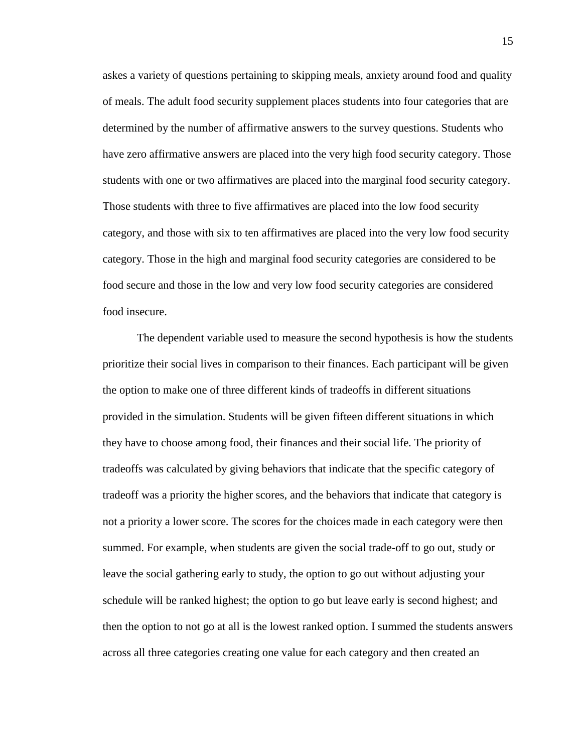askes a variety of questions pertaining to skipping meals, anxiety around food and quality of meals. The adult food security supplement places students into four categories that are determined by the number of affirmative answers to the survey questions. Students who have zero affirmative answers are placed into the very high food security category. Those students with one or two affirmatives are placed into the marginal food security category. Those students with three to five affirmatives are placed into the low food security category, and those with six to ten affirmatives are placed into the very low food security category. Those in the high and marginal food security categories are considered to be food secure and those in the low and very low food security categories are considered food insecure.

The dependent variable used to measure the second hypothesis is how the students prioritize their social lives in comparison to their finances. Each participant will be given the option to make one of three different kinds of tradeoffs in different situations provided in the simulation. Students will be given fifteen different situations in which they have to choose among food, their finances and their social life. The priority of tradeoffs was calculated by giving behaviors that indicate that the specific category of tradeoff was a priority the higher scores, and the behaviors that indicate that category is not a priority a lower score. The scores for the choices made in each category were then summed. For example, when students are given the social trade-off to go out, study or leave the social gathering early to study, the option to go out without adjusting your schedule will be ranked highest; the option to go but leave early is second highest; and then the option to not go at all is the lowest ranked option. I summed the students answers across all three categories creating one value for each category and then created an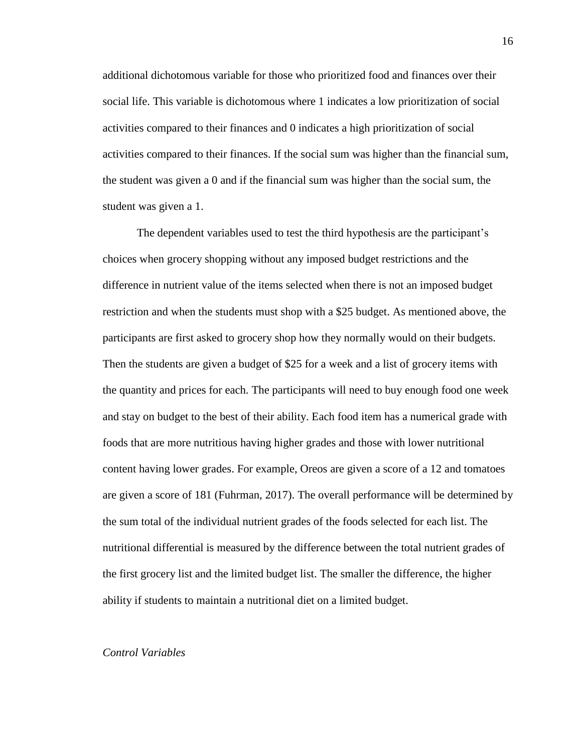additional dichotomous variable for those who prioritized food and finances over their social life. This variable is dichotomous where 1 indicates a low prioritization of social activities compared to their finances and 0 indicates a high prioritization of social activities compared to their finances. If the social sum was higher than the financial sum, the student was given a 0 and if the financial sum was higher than the social sum, the student was given a 1.

The dependent variables used to test the third hypothesis are the participant's choices when grocery shopping without any imposed budget restrictions and the difference in nutrient value of the items selected when there is not an imposed budget restriction and when the students must shop with a \$25 budget. As mentioned above, the participants are first asked to grocery shop how they normally would on their budgets. Then the students are given a budget of \$25 for a week and a list of grocery items with the quantity and prices for each. The participants will need to buy enough food one week and stay on budget to the best of their ability. Each food item has a numerical grade with foods that are more nutritious having higher grades and those with lower nutritional content having lower grades. For example, Oreos are given a score of a 12 and tomatoes are given a score of 181 (Fuhrman, 2017). The overall performance will be determined by the sum total of the individual nutrient grades of the foods selected for each list. The nutritional differential is measured by the difference between the total nutrient grades of the first grocery list and the limited budget list. The smaller the difference, the higher ability if students to maintain a nutritional diet on a limited budget.

#### *Control Variables*

16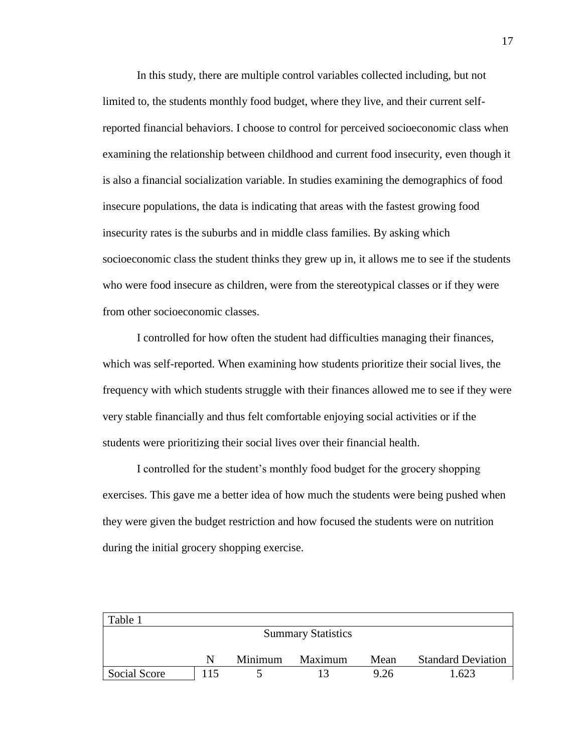In this study, there are multiple control variables collected including, but not limited to, the students monthly food budget, where they live, and their current selfreported financial behaviors. I choose to control for perceived socioeconomic class when examining the relationship between childhood and current food insecurity, even though it is also a financial socialization variable. In studies examining the demographics of food insecure populations, the data is indicating that areas with the fastest growing food insecurity rates is the suburbs and in middle class families. By asking which socioeconomic class the student thinks they grew up in, it allows me to see if the students who were food insecure as children, were from the stereotypical classes or if they were from other socioeconomic classes.

I controlled for how often the student had difficulties managing their finances, which was self-reported. When examining how students prioritize their social lives, the frequency with which students struggle with their finances allowed me to see if they were very stable financially and thus felt comfortable enjoying social activities or if the students were prioritizing their social lives over their financial health.

I controlled for the student's monthly food budget for the grocery shopping exercises. This gave me a better idea of how much the students were being pushed when they were given the budget restriction and how focused the students were on nutrition during the initial grocery shopping exercise.

| Table 1      |     |         |                           |      |                           |
|--------------|-----|---------|---------------------------|------|---------------------------|
|              |     |         | <b>Summary Statistics</b> |      |                           |
|              |     |         |                           |      |                           |
|              | N   | Minimum | Maximum                   | Mean | <b>Standard Deviation</b> |
| Social Score | 115 |         |                           | 9.26 | 1.623                     |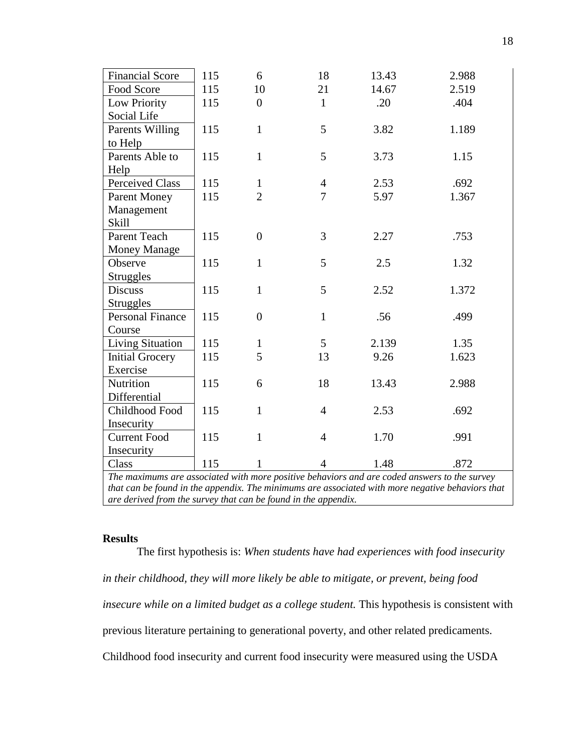| <b>Financial Score</b>                                                                       | 115 | 6                | 18             | 13.43 | 2.988                                                                                            |
|----------------------------------------------------------------------------------------------|-----|------------------|----------------|-------|--------------------------------------------------------------------------------------------------|
| Food Score                                                                                   | 115 | 10               | 21             | 14.67 | 2.519                                                                                            |
| Low Priority                                                                                 | 115 | $\overline{0}$   | $\mathbf{1}$   | .20   | .404                                                                                             |
| Social Life                                                                                  |     |                  |                |       |                                                                                                  |
| Parents Willing                                                                              | 115 | $\mathbf{1}$     | 5              | 3.82  | 1.189                                                                                            |
| to Help                                                                                      |     |                  |                |       |                                                                                                  |
| Parents Able to                                                                              | 115 | $\mathbf{1}$     | 5              | 3.73  | 1.15                                                                                             |
| Help                                                                                         |     |                  |                |       |                                                                                                  |
| <b>Perceived Class</b>                                                                       | 115 | $\mathbf{1}$     | $\overline{4}$ | 2.53  | .692                                                                                             |
| <b>Parent Money</b>                                                                          | 115 | $\overline{2}$   | $\overline{7}$ | 5.97  | 1.367                                                                                            |
| Management                                                                                   |     |                  |                |       |                                                                                                  |
| <b>Skill</b>                                                                                 |     |                  |                |       |                                                                                                  |
| Parent Teach                                                                                 | 115 | $\overline{0}$   | 3              | 2.27  | .753                                                                                             |
| <b>Money Manage</b>                                                                          |     |                  |                |       |                                                                                                  |
| Observe                                                                                      | 115 | $\mathbf{1}$     | 5              | 2.5   | 1.32                                                                                             |
| <b>Struggles</b>                                                                             |     |                  |                |       |                                                                                                  |
| <b>Discuss</b>                                                                               | 115 | $\mathbf{1}$     | 5              | 2.52  | 1.372                                                                                            |
| <b>Struggles</b>                                                                             |     |                  |                |       |                                                                                                  |
| <b>Personal Finance</b>                                                                      | 115 | $\boldsymbol{0}$ | $\mathbf{1}$   | .56   | .499                                                                                             |
| Course                                                                                       |     |                  |                |       |                                                                                                  |
| Living Situation                                                                             | 115 | $\mathbf{1}$     | 5              | 2.139 | 1.35                                                                                             |
| <b>Initial Grocery</b>                                                                       | 115 | 5                | 13             | 9.26  | 1.623                                                                                            |
| Exercise                                                                                     |     |                  |                |       |                                                                                                  |
| Nutrition                                                                                    | 115 | 6                | 18             | 13.43 | 2.988                                                                                            |
| Differential                                                                                 |     |                  |                |       |                                                                                                  |
| Childhood Food                                                                               | 115 | $\mathbf{1}$     | $\overline{4}$ | 2.53  | .692                                                                                             |
| Insecurity                                                                                   |     |                  |                |       |                                                                                                  |
| <b>Current Food</b>                                                                          | 115 | $\mathbf{1}$     | $\overline{4}$ | 1.70  | .991                                                                                             |
| Insecurity                                                                                   |     |                  |                |       |                                                                                                  |
| Class                                                                                        | 115 | 1                | 4              | 1.48  | .872                                                                                             |
| The maximums are associated with more positive behaviors and are coded answers to the survey |     |                  |                |       |                                                                                                  |
|                                                                                              |     |                  |                |       | that can be found in the appendix. The minimums are associated with more negative behaviors that |

*that can be found in the appendix. The minimums are associated with more negative behaviors that are derived from the survey that can be found in the appendix.*

#### **Results**

The first hypothesis is: *When students have had experiences with food insecurity in their childhood, they will more likely be able to mitigate, or prevent, being food insecure while on a limited budget as a college student.* This hypothesis is consistent with previous literature pertaining to generational poverty, and other related predicaments. Childhood food insecurity and current food insecurity were measured using the USDA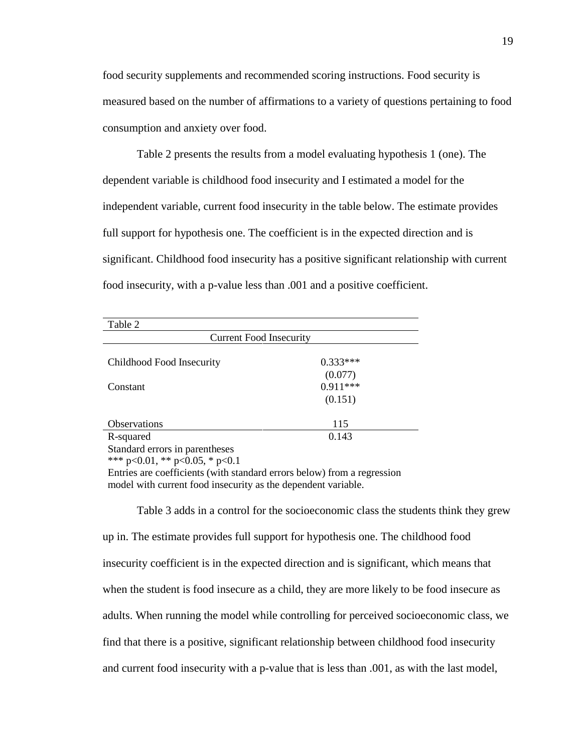food security supplements and recommended scoring instructions. Food security is measured based on the number of affirmations to a variety of questions pertaining to food consumption and anxiety over food.

Table 2 presents the results from a model evaluating hypothesis 1 (one). The dependent variable is childhood food insecurity and I estimated a model for the independent variable, current food insecurity in the table below. The estimate provides full support for hypothesis one. The coefficient is in the expected direction and is significant. Childhood food insecurity has a positive significant relationship with current food insecurity, with a p-value less than .001 and a positive coefficient.

| Table 2                                                                               |            |
|---------------------------------------------------------------------------------------|------------|
| <b>Current Food Insecurity</b>                                                        |            |
|                                                                                       |            |
| Childhood Food Insecurity                                                             | $0.333***$ |
|                                                                                       | (0.077)    |
| Constant                                                                              | $0.911***$ |
|                                                                                       | (0.151)    |
|                                                                                       |            |
| <b>Observations</b>                                                                   | 115        |
| R-squared                                                                             | 0.143      |
| Standard errors in parentheses                                                        |            |
| *** $p<0.01$ , ** $p<0.05$ , * $p<0.1$                                                |            |
| $\frac{1}{2}$ Furties are coefficients (with standard errors below) from a regression |            |

Entries are coefficients (with standard errors below) from a regression model with current food insecurity as the dependent variable.

Table 3 adds in a control for the socioeconomic class the students think they grew up in. The estimate provides full support for hypothesis one. The childhood food insecurity coefficient is in the expected direction and is significant, which means that when the student is food insecure as a child, they are more likely to be food insecure as adults. When running the model while controlling for perceived socioeconomic class, we find that there is a positive, significant relationship between childhood food insecurity and current food insecurity with a p-value that is less than .001, as with the last model,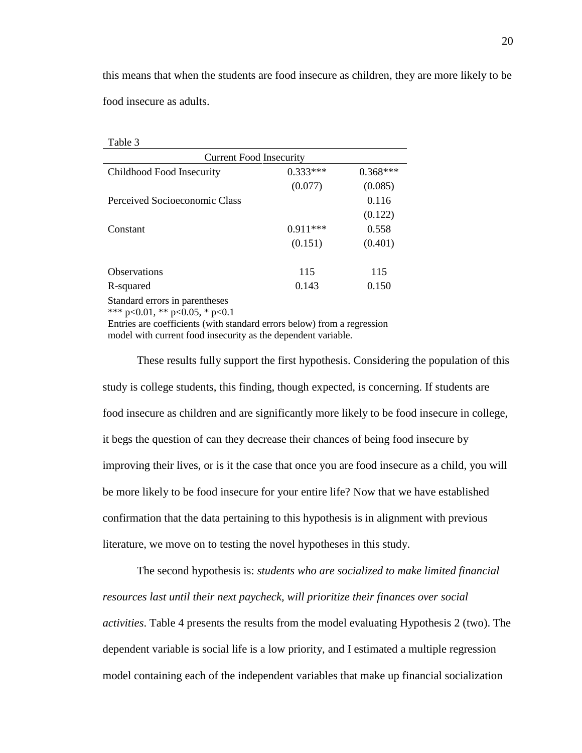this means that when the students are food insecure as children, they are more likely to be food insecure as adults.

| Table 3                        |            |            |
|--------------------------------|------------|------------|
| <b>Current Food Insecurity</b> |            |            |
| Childhood Food Insecurity      | $0.333***$ | $0.368***$ |
|                                | (0.077)    | (0.085)    |
| Perceived Socioeconomic Class  |            | 0.116      |
|                                |            | (0.122)    |
| Constant                       | $0.911***$ | 0.558      |
|                                | (0.151)    | (0.401)    |
| <b>Observations</b>            | 115        | 115        |
| R-squared                      | 0.143      | 0.150      |
| Standard errors in parentheses |            |            |

\*\*\* p<0.01, \*\* p<0.05, \* p<0.1

Entries are coefficients (with standard errors below) from a regression model with current food insecurity as the dependent variable.

These results fully support the first hypothesis. Considering the population of this study is college students, this finding, though expected, is concerning. If students are food insecure as children and are significantly more likely to be food insecure in college, it begs the question of can they decrease their chances of being food insecure by improving their lives, or is it the case that once you are food insecure as a child, you will be more likely to be food insecure for your entire life? Now that we have established confirmation that the data pertaining to this hypothesis is in alignment with previous literature, we move on to testing the novel hypotheses in this study.

The second hypothesis is: *students who are socialized to make limited financial resources last until their next paycheck, will prioritize their finances over social activities*. Table 4 presents the results from the model evaluating Hypothesis 2 (two). The dependent variable is social life is a low priority, and I estimated a multiple regression model containing each of the independent variables that make up financial socialization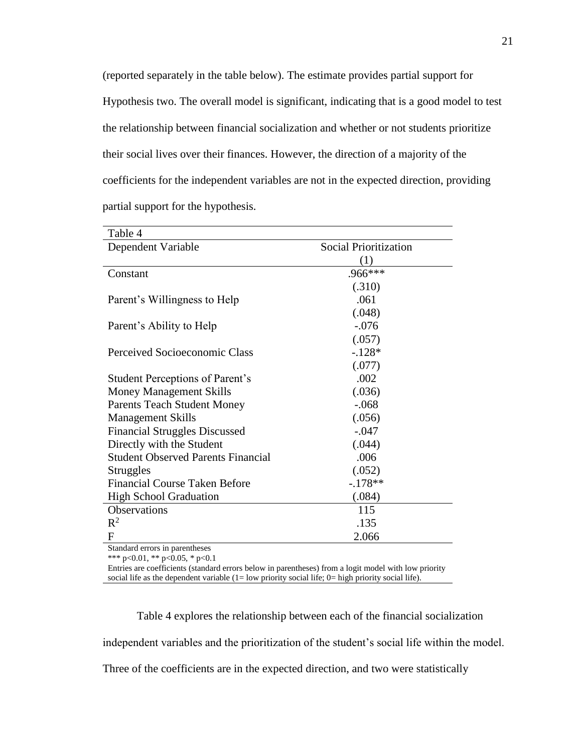(reported separately in the table below). The estimate provides partial support for Hypothesis two. The overall model is significant, indicating that is a good model to test the relationship between financial socialization and whether or not students prioritize their social lives over their finances. However, the direction of a majority of the coefficients for the independent variables are not in the expected direction, providing partial support for the hypothesis.

| Table 4                                   |                              |
|-------------------------------------------|------------------------------|
| Dependent Variable                        | <b>Social Prioritization</b> |
|                                           | (1)                          |
| Constant                                  | .966***                      |
|                                           | (.310)                       |
| Parent's Willingness to Help              | .061                         |
|                                           | (.048)                       |
| Parent's Ability to Help                  | $-.076$                      |
|                                           | (.057)                       |
| Perceived Socioeconomic Class             | $-.128*$                     |
|                                           | (.077)                       |
| <b>Student Perceptions of Parent's</b>    | .002                         |
| <b>Money Management Skills</b>            | (.036)                       |
| <b>Parents Teach Student Money</b>        | $-.068$                      |
| <b>Management Skills</b>                  | (.056)                       |
| <b>Financial Struggles Discussed</b>      | $-.047$                      |
| Directly with the Student                 | (.044)                       |
| <b>Student Observed Parents Financial</b> | .006                         |
| Struggles                                 | (.052)                       |
| <b>Financial Course Taken Before</b>      | $-.178**$                    |
| <b>High School Graduation</b>             | (.084)                       |
| Observations                              | 115                          |
| $R^2$                                     | .135                         |
| F                                         | 2.066                        |

Standard errors in parentheses

\*\*\* p<0.01, \*\* p<0.05, \* p<0.1

Entries are coefficients (standard errors below in parentheses) from a logit model with low priority social life as the dependent variable  $(1=$  low priority social life;  $0=$  high priority social life).

Table 4 explores the relationship between each of the financial socialization

independent variables and the prioritization of the student's social life within the model.

Three of the coefficients are in the expected direction, and two were statistically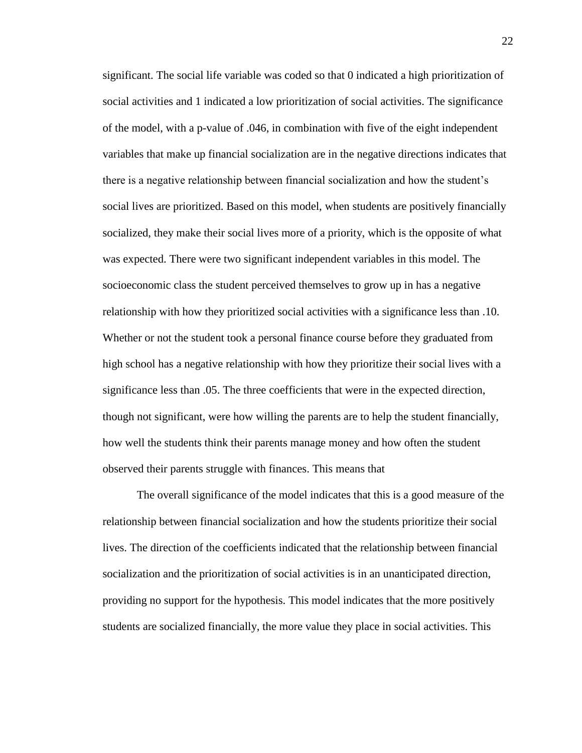significant. The social life variable was coded so that 0 indicated a high prioritization of social activities and 1 indicated a low prioritization of social activities. The significance of the model, with a p-value of .046, in combination with five of the eight independent variables that make up financial socialization are in the negative directions indicates that there is a negative relationship between financial socialization and how the student's social lives are prioritized. Based on this model, when students are positively financially socialized, they make their social lives more of a priority, which is the opposite of what was expected. There were two significant independent variables in this model. The socioeconomic class the student perceived themselves to grow up in has a negative relationship with how they prioritized social activities with a significance less than .10. Whether or not the student took a personal finance course before they graduated from high school has a negative relationship with how they prioritize their social lives with a significance less than .05. The three coefficients that were in the expected direction, though not significant, were how willing the parents are to help the student financially, how well the students think their parents manage money and how often the student observed their parents struggle with finances. This means that

The overall significance of the model indicates that this is a good measure of the relationship between financial socialization and how the students prioritize their social lives. The direction of the coefficients indicated that the relationship between financial socialization and the prioritization of social activities is in an unanticipated direction, providing no support for the hypothesis. This model indicates that the more positively students are socialized financially, the more value they place in social activities. This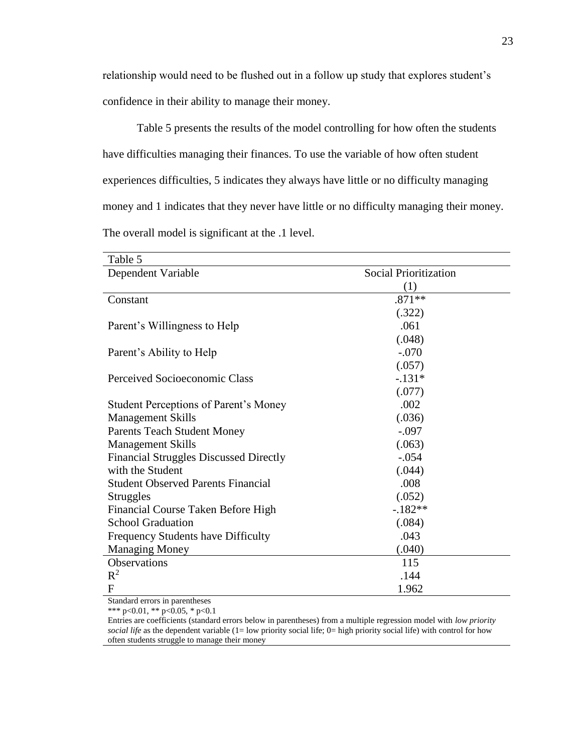relationship would need to be flushed out in a follow up study that explores student's confidence in their ability to manage their money.

Table 5 presents the results of the model controlling for how often the students have difficulties managing their finances. To use the variable of how often student experiences difficulties, 5 indicates they always have little or no difficulty managing money and 1 indicates that they never have little or no difficulty managing their money. The overall model is significant at the .1 level.

| Table 5                                       |                              |  |
|-----------------------------------------------|------------------------------|--|
| Dependent Variable                            | <b>Social Prioritization</b> |  |
|                                               | (1)                          |  |
| Constant                                      | $.871**$                     |  |
|                                               | (.322)                       |  |
| Parent's Willingness to Help                  | .061                         |  |
|                                               | (.048)                       |  |
| Parent's Ability to Help                      | $-.070$                      |  |
|                                               | (.057)                       |  |
| Perceived Socioeconomic Class                 | $-.131*$                     |  |
|                                               | (.077)                       |  |
| <b>Student Perceptions of Parent's Money</b>  | .002                         |  |
| <b>Management Skills</b>                      | (.036)                       |  |
| <b>Parents Teach Student Money</b>            | $-.097$                      |  |
| <b>Management Skills</b>                      | (.063)                       |  |
| <b>Financial Struggles Discussed Directly</b> | $-.054$                      |  |
| with the Student                              | (.044)                       |  |
| <b>Student Observed Parents Financial</b>     | .008                         |  |
| <b>Struggles</b>                              | (.052)                       |  |
| Financial Course Taken Before High            | $-182**$                     |  |
| <b>School Graduation</b>                      | (.084)                       |  |
| Frequency Students have Difficulty            | .043                         |  |
| <b>Managing Money</b>                         | (.040)                       |  |
| Observations                                  | 115                          |  |
| $R^2$                                         | .144                         |  |
| F                                             | 1.962                        |  |

Standard errors in parentheses

\*\*\* p<0.01, \*\* p<0.05, \* p<0.1

Entries are coefficients (standard errors below in parentheses) from a multiple regression model with *low priority social life* as the dependent variable (1= low priority social life; 0= high priority social life) with control for how often students struggle to manage their money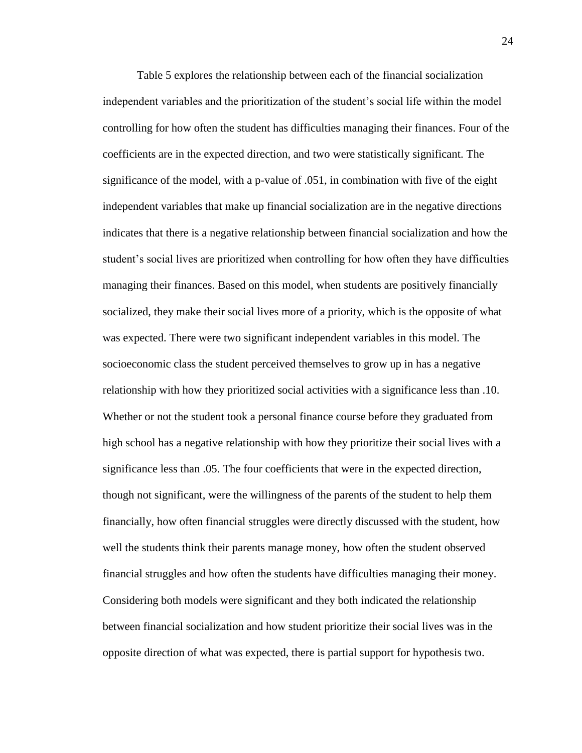Table 5 explores the relationship between each of the financial socialization independent variables and the prioritization of the student's social life within the model controlling for how often the student has difficulties managing their finances. Four of the coefficients are in the expected direction, and two were statistically significant. The significance of the model, with a p-value of .051, in combination with five of the eight independent variables that make up financial socialization are in the negative directions indicates that there is a negative relationship between financial socialization and how the student's social lives are prioritized when controlling for how often they have difficulties managing their finances. Based on this model, when students are positively financially socialized, they make their social lives more of a priority, which is the opposite of what was expected. There were two significant independent variables in this model. The socioeconomic class the student perceived themselves to grow up in has a negative relationship with how they prioritized social activities with a significance less than .10. Whether or not the student took a personal finance course before they graduated from high school has a negative relationship with how they prioritize their social lives with a significance less than .05. The four coefficients that were in the expected direction, though not significant, were the willingness of the parents of the student to help them financially, how often financial struggles were directly discussed with the student, how well the students think their parents manage money, how often the student observed financial struggles and how often the students have difficulties managing their money. Considering both models were significant and they both indicated the relationship between financial socialization and how student prioritize their social lives was in the opposite direction of what was expected, there is partial support for hypothesis two.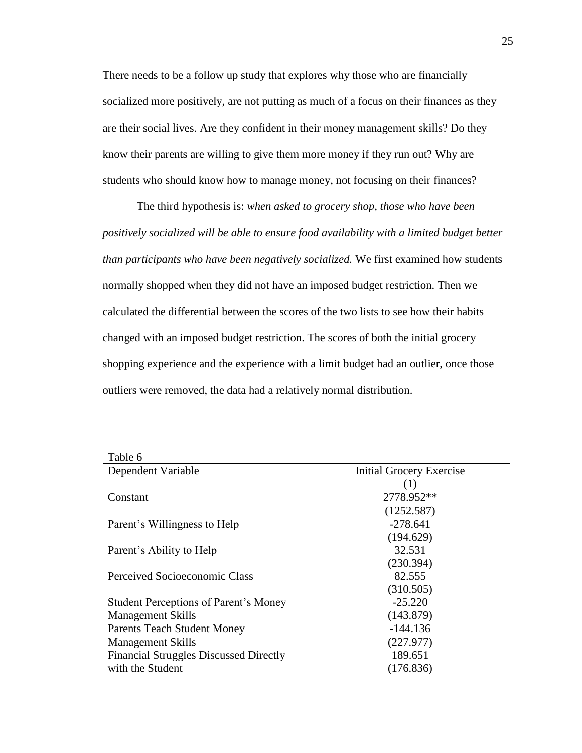There needs to be a follow up study that explores why those who are financially socialized more positively, are not putting as much of a focus on their finances as they are their social lives. Are they confident in their money management skills? Do they know their parents are willing to give them more money if they run out? Why are students who should know how to manage money, not focusing on their finances?

The third hypothesis is: *when asked to grocery shop, those who have been positively socialized will be able to ensure food availability with a limited budget better than participants who have been negatively socialized.* We first examined how students normally shopped when they did not have an imposed budget restriction. Then we calculated the differential between the scores of the two lists to see how their habits changed with an imposed budget restriction. The scores of both the initial grocery shopping experience and the experience with a limit budget had an outlier, once those outliers were removed, the data had a relatively normal distribution.

| Table 6                                       |                                 |
|-----------------------------------------------|---------------------------------|
| Dependent Variable                            | <b>Initial Grocery Exercise</b> |
|                                               |                                 |
| Constant                                      | 2778.952**                      |
|                                               | (1252.587)                      |
| Parent's Willingness to Help                  | $-278.641$                      |
|                                               | (194.629)                       |
| Parent's Ability to Help                      | 32.531                          |
|                                               | (230.394)                       |
| Perceived Socioeconomic Class                 | 82.555                          |
|                                               | (310.505)                       |
| <b>Student Perceptions of Parent's Money</b>  | $-25.220$                       |
| <b>Management Skills</b>                      | (143.879)                       |
| <b>Parents Teach Student Money</b>            | $-144.136$                      |
| <b>Management Skills</b>                      | (227.977)                       |
| <b>Financial Struggles Discussed Directly</b> | 189.651                         |
| with the Student                              | (176.836)                       |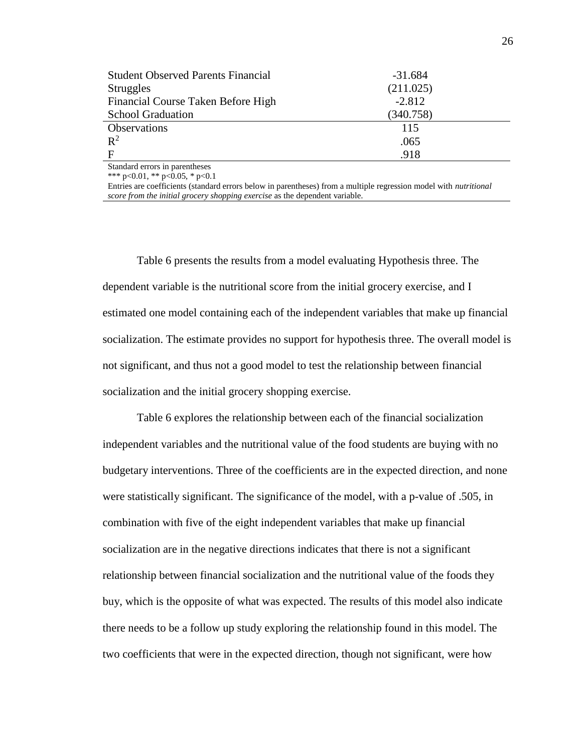| <b>Student Observed Parents Financial</b> | $-31.684$ |  |
|-------------------------------------------|-----------|--|
| <b>Struggles</b>                          | (211.025) |  |
| Financial Course Taken Before High        | $-2.812$  |  |
| <b>School Graduation</b>                  | (340.758) |  |
| <b>Observations</b>                       | 115       |  |
| $\mathbb{R}^2$                            | .065      |  |
| $\mathbf{F}$                              | .918      |  |
| $\sim$ $\sim$ $\sim$ $\sim$<br>- 11       |           |  |

Standard errors in parentheses

\*\*\* p<0.01, \*\* p<0.05, \* p<0.1

Entries are coefficients (standard errors below in parentheses) from a multiple regression model with *nutritional score from the initial grocery shopping exercise* as the dependent variable.

Table 6 presents the results from a model evaluating Hypothesis three. The dependent variable is the nutritional score from the initial grocery exercise, and I estimated one model containing each of the independent variables that make up financial socialization. The estimate provides no support for hypothesis three. The overall model is not significant, and thus not a good model to test the relationship between financial socialization and the initial grocery shopping exercise.

Table 6 explores the relationship between each of the financial socialization independent variables and the nutritional value of the food students are buying with no budgetary interventions. Three of the coefficients are in the expected direction, and none were statistically significant. The significance of the model, with a p-value of .505, in combination with five of the eight independent variables that make up financial socialization are in the negative directions indicates that there is not a significant relationship between financial socialization and the nutritional value of the foods they buy, which is the opposite of what was expected. The results of this model also indicate there needs to be a follow up study exploring the relationship found in this model. The two coefficients that were in the expected direction, though not significant, were how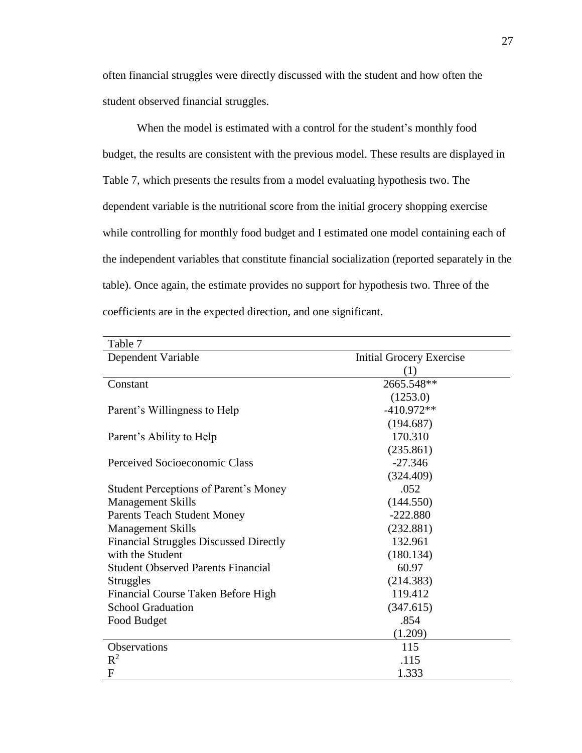often financial struggles were directly discussed with the student and how often the student observed financial struggles.

When the model is estimated with a control for the student's monthly food budget, the results are consistent with the previous model. These results are displayed in Table 7, which presents the results from a model evaluating hypothesis two. The dependent variable is the nutritional score from the initial grocery shopping exercise while controlling for monthly food budget and I estimated one model containing each of the independent variables that constitute financial socialization (reported separately in the table). Once again, the estimate provides no support for hypothesis two. Three of the coefficients are in the expected direction, and one significant.

| Table 7                                       |                                 |
|-----------------------------------------------|---------------------------------|
| Dependent Variable                            | <b>Initial Grocery Exercise</b> |
|                                               | $\left(1\right)$                |
| Constant                                      | 2665.548**                      |
|                                               | (1253.0)                        |
| Parent's Willingness to Help                  | $-410.972**$                    |
|                                               | (194.687)                       |
| Parent's Ability to Help                      | 170.310                         |
|                                               | (235.861)                       |
| Perceived Socioeconomic Class                 | $-27.346$                       |
|                                               | (324.409)                       |
| Student Perceptions of Parent's Money         | .052                            |
| <b>Management Skills</b>                      | (144.550)                       |
| <b>Parents Teach Student Money</b>            | $-222.880$                      |
| <b>Management Skills</b>                      | (232.881)                       |
| <b>Financial Struggles Discussed Directly</b> | 132.961                         |
| with the Student                              | (180.134)                       |
| <b>Student Observed Parents Financial</b>     | 60.97                           |
| <b>Struggles</b>                              | (214.383)                       |
| Financial Course Taken Before High            | 119.412                         |
| <b>School Graduation</b>                      | (347.615)                       |
| Food Budget                                   | .854                            |
|                                               | (1.209)                         |
| <b>Observations</b>                           | 115                             |
| $R^2$                                         | .115                            |
| $\mathbf{F}$                                  | 1.333                           |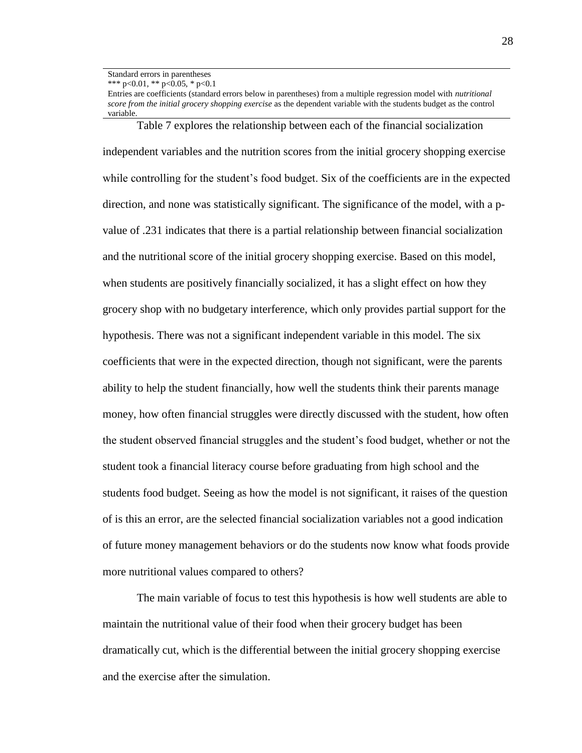Standard errors in parentheses

\*\*\* p<0.01, \*\* p<0.05, \* p<0.1

Entries are coefficients (standard errors below in parentheses) from a multiple regression model with *nutritional score from the initial grocery shopping exercise* as the dependent variable with the students budget as the control variable.

Table 7 explores the relationship between each of the financial socialization independent variables and the nutrition scores from the initial grocery shopping exercise while controlling for the student's food budget. Six of the coefficients are in the expected direction, and none was statistically significant. The significance of the model, with a pvalue of .231 indicates that there is a partial relationship between financial socialization and the nutritional score of the initial grocery shopping exercise. Based on this model, when students are positively financially socialized, it has a slight effect on how they grocery shop with no budgetary interference, which only provides partial support for the hypothesis. There was not a significant independent variable in this model. The six coefficients that were in the expected direction, though not significant, were the parents ability to help the student financially, how well the students think their parents manage money, how often financial struggles were directly discussed with the student, how often the student observed financial struggles and the student's food budget, whether or not the student took a financial literacy course before graduating from high school and the students food budget. Seeing as how the model is not significant, it raises of the question of is this an error, are the selected financial socialization variables not a good indication of future money management behaviors or do the students now know what foods provide more nutritional values compared to others?

The main variable of focus to test this hypothesis is how well students are able to maintain the nutritional value of their food when their grocery budget has been dramatically cut, which is the differential between the initial grocery shopping exercise and the exercise after the simulation.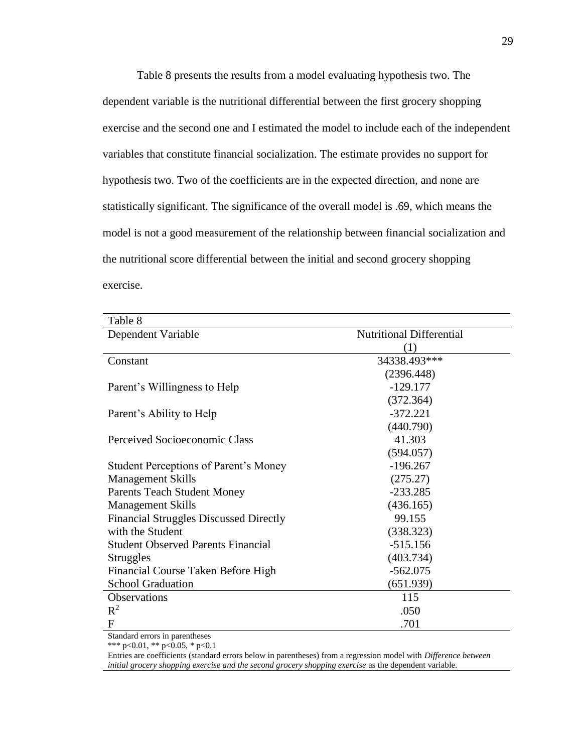Table 8 presents the results from a model evaluating hypothesis two. The dependent variable is the nutritional differential between the first grocery shopping exercise and the second one and I estimated the model to include each of the independent variables that constitute financial socialization. The estimate provides no support for hypothesis two. Two of the coefficients are in the expected direction, and none are statistically significant. The significance of the overall model is .69, which means the model is not a good measurement of the relationship between financial socialization and the nutritional score differential between the initial and second grocery shopping exercise.

| Table 8                                       |                                 |
|-----------------------------------------------|---------------------------------|
| Dependent Variable                            | <b>Nutritional Differential</b> |
|                                               | (1)                             |
| Constant                                      | 34338.493***                    |
|                                               | (2396.448)                      |
| Parent's Willingness to Help                  | $-129.177$                      |
|                                               | (372.364)                       |
| Parent's Ability to Help                      | $-372.221$                      |
|                                               | (440.790)                       |
| Perceived Socioeconomic Class                 | 41.303                          |
|                                               | (594.057)                       |
| <b>Student Perceptions of Parent's Money</b>  | $-196.267$                      |
| <b>Management Skills</b>                      | (275.27)                        |
| <b>Parents Teach Student Money</b>            | $-233.285$                      |
| <b>Management Skills</b>                      | (436.165)                       |
| <b>Financial Struggles Discussed Directly</b> | 99.155                          |
| with the Student                              | (338.323)                       |
| <b>Student Observed Parents Financial</b>     | $-515.156$                      |
| <b>Struggles</b>                              | (403.734)                       |
| Financial Course Taken Before High            | $-562.075$                      |
| <b>School Graduation</b>                      | (651.939)                       |
| <b>Observations</b>                           | 115                             |
| $R^2$                                         | .050                            |
| $\mathbf{F}$                                  | .701                            |

Standard errors in parentheses

\*\*\* p<0.01, \*\* p<0.05, \* p<0.1

Entries are coefficients (standard errors below in parentheses) from a regression model with *Difference between initial grocery shopping exercise and the second grocery shopping exercise* as the dependent variable.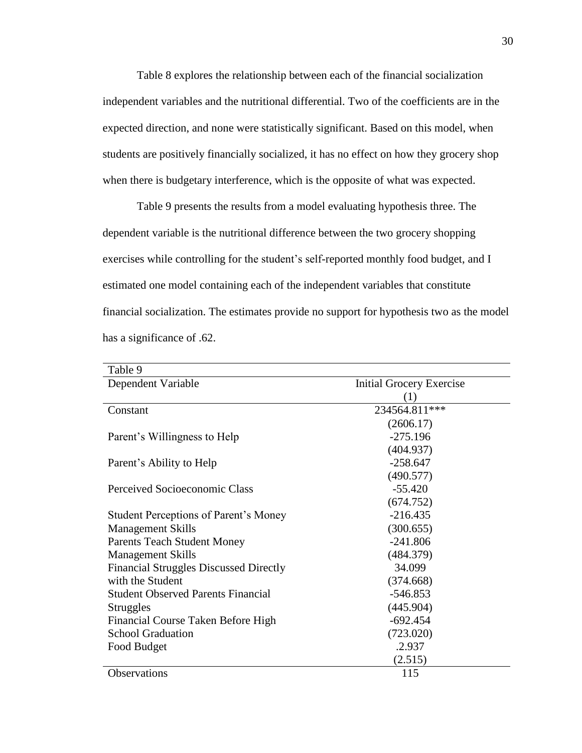Table 8 explores the relationship between each of the financial socialization independent variables and the nutritional differential. Two of the coefficients are in the expected direction, and none were statistically significant. Based on this model, when students are positively financially socialized, it has no effect on how they grocery shop when there is budgetary interference, which is the opposite of what was expected.

Table 9 presents the results from a model evaluating hypothesis three. The dependent variable is the nutritional difference between the two grocery shopping exercises while controlling for the student's self-reported monthly food budget, and I estimated one model containing each of the independent variables that constitute financial socialization. The estimates provide no support for hypothesis two as the model has a significance of .62.

| Table 9                                       |                                 |  |
|-----------------------------------------------|---------------------------------|--|
| Dependent Variable                            | <b>Initial Grocery Exercise</b> |  |
|                                               | (1)                             |  |
| Constant                                      | 234564.811***                   |  |
|                                               | (2606.17)                       |  |
| Parent's Willingness to Help                  | $-275.196$                      |  |
|                                               | (404.937)                       |  |
| Parent's Ability to Help                      | $-258.647$                      |  |
|                                               | (490.577)                       |  |
| Perceived Socioeconomic Class                 | $-55.420$                       |  |
|                                               | (674.752)                       |  |
| <b>Student Perceptions of Parent's Money</b>  | $-216.435$                      |  |
| <b>Management Skills</b>                      | (300.655)                       |  |
| <b>Parents Teach Student Money</b>            | $-241.806$                      |  |
| <b>Management Skills</b>                      | (484.379)                       |  |
| <b>Financial Struggles Discussed Directly</b> | 34.099                          |  |
| with the Student                              | (374.668)                       |  |
| <b>Student Observed Parents Financial</b>     | $-546.853$                      |  |
| Struggles                                     | (445.904)                       |  |
| Financial Course Taken Before High            | $-692.454$                      |  |
| <b>School Graduation</b>                      | (723.020)                       |  |
| Food Budget                                   | .2.937                          |  |
|                                               | (2.515)                         |  |
| Observations                                  | 115                             |  |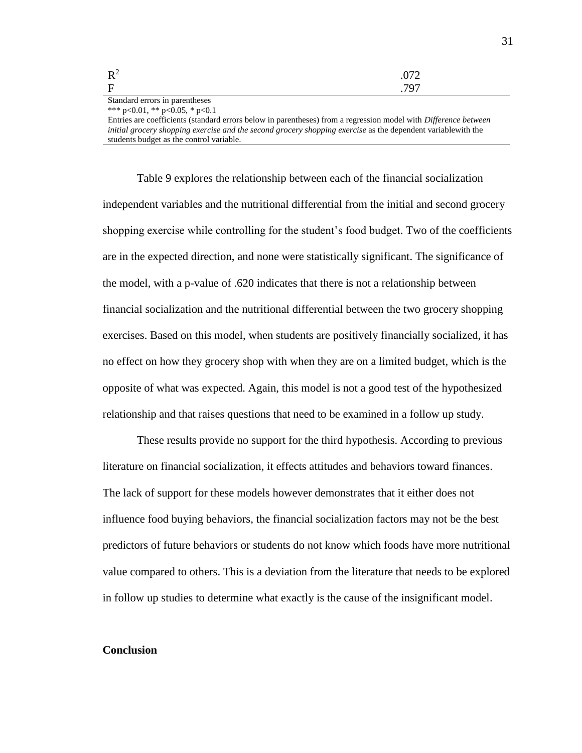| $R^2$       | .072 |
|-------------|------|
| $\mathbf F$ | 797  |

Standard errors in parentheses \*\*\* p<0.01, \*\* p<0.05, \* p<0.1

Entries are coefficients (standard errors below in parentheses) from a regression model with *Difference between initial grocery shopping exercise and the second grocery shopping exercise* as the dependent variablewith the students budget as the control variable.

Table 9 explores the relationship between each of the financial socialization independent variables and the nutritional differential from the initial and second grocery shopping exercise while controlling for the student's food budget. Two of the coefficients are in the expected direction, and none were statistically significant. The significance of the model, with a p-value of .620 indicates that there is not a relationship between financial socialization and the nutritional differential between the two grocery shopping exercises. Based on this model, when students are positively financially socialized, it has no effect on how they grocery shop with when they are on a limited budget, which is the opposite of what was expected. Again, this model is not a good test of the hypothesized relationship and that raises questions that need to be examined in a follow up study.

These results provide no support for the third hypothesis. According to previous literature on financial socialization, it effects attitudes and behaviors toward finances. The lack of support for these models however demonstrates that it either does not influence food buying behaviors, the financial socialization factors may not be the best predictors of future behaviors or students do not know which foods have more nutritional value compared to others. This is a deviation from the literature that needs to be explored in follow up studies to determine what exactly is the cause of the insignificant model.

#### **Conclusion**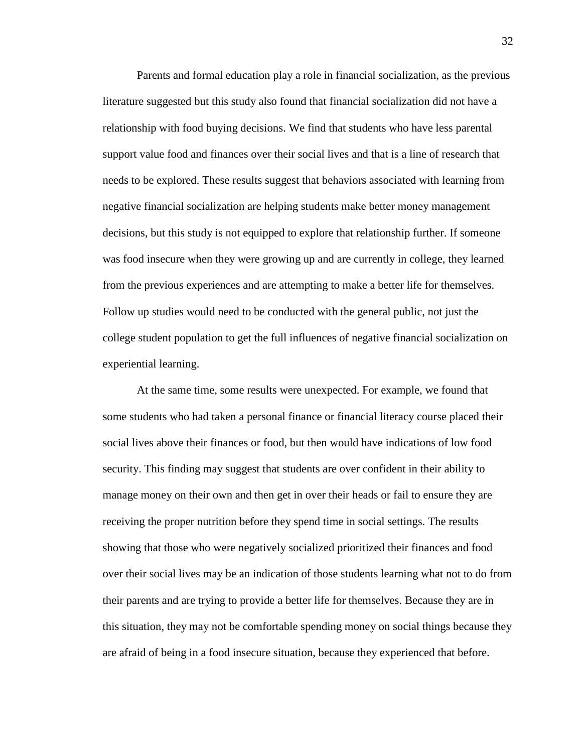Parents and formal education play a role in financial socialization, as the previous literature suggested but this study also found that financial socialization did not have a relationship with food buying decisions. We find that students who have less parental support value food and finances over their social lives and that is a line of research that needs to be explored. These results suggest that behaviors associated with learning from negative financial socialization are helping students make better money management decisions, but this study is not equipped to explore that relationship further. If someone was food insecure when they were growing up and are currently in college, they learned from the previous experiences and are attempting to make a better life for themselves. Follow up studies would need to be conducted with the general public, not just the college student population to get the full influences of negative financial socialization on experiential learning.

At the same time, some results were unexpected. For example, we found that some students who had taken a personal finance or financial literacy course placed their social lives above their finances or food, but then would have indications of low food security. This finding may suggest that students are over confident in their ability to manage money on their own and then get in over their heads or fail to ensure they are receiving the proper nutrition before they spend time in social settings. The results showing that those who were negatively socialized prioritized their finances and food over their social lives may be an indication of those students learning what not to do from their parents and are trying to provide a better life for themselves. Because they are in this situation, they may not be comfortable spending money on social things because they are afraid of being in a food insecure situation, because they experienced that before.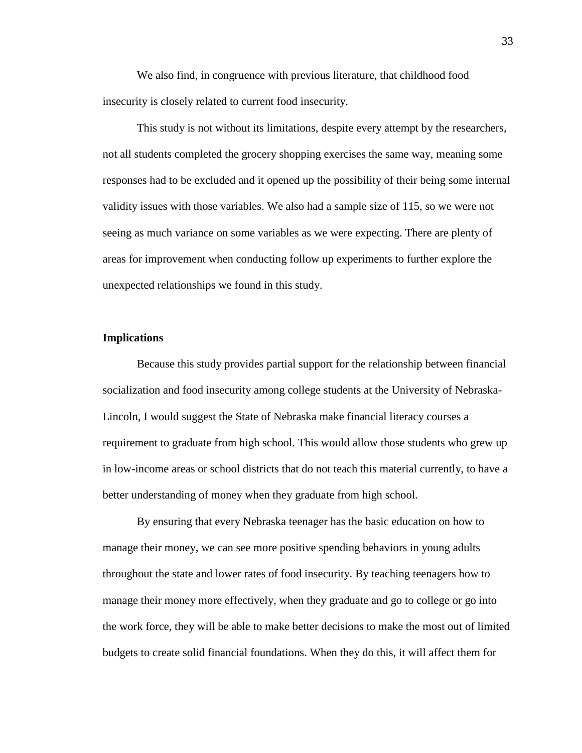We also find, in congruence with previous literature, that childhood food insecurity is closely related to current food insecurity.

This study is not without its limitations, despite every attempt by the researchers, not all students completed the grocery shopping exercises the same way, meaning some responses had to be excluded and it opened up the possibility of their being some internal validity issues with those variables. We also had a sample size of 115, so we were not seeing as much variance on some variables as we were expecting. There are plenty of areas for improvement when conducting follow up experiments to further explore the unexpected relationships we found in this study.

#### **Implications**

Because this study provides partial support for the relationship between financial socialization and food insecurity among college students at the University of Nebraska-Lincoln, I would suggest the State of Nebraska make financial literacy courses a requirement to graduate from high school. This would allow those students who grew up in low-income areas or school districts that do not teach this material currently, to have a better understanding of money when they graduate from high school.

By ensuring that every Nebraska teenager has the basic education on how to manage their money, we can see more positive spending behaviors in young adults throughout the state and lower rates of food insecurity. By teaching teenagers how to manage their money more effectively, when they graduate and go to college or go into the work force, they will be able to make better decisions to make the most out of limited budgets to create solid financial foundations. When they do this, it will affect them for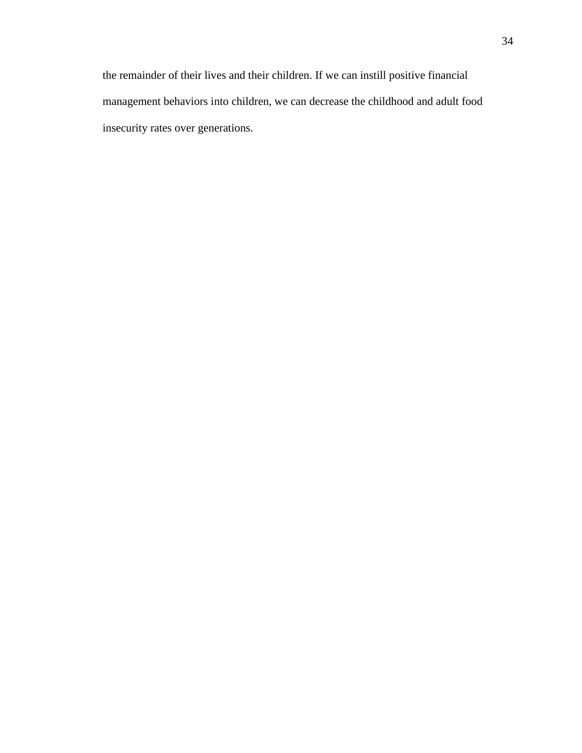the remainder of their lives and their children. If we can instill positive financial management behaviors into children, we can decrease the childhood and adult food insecurity rates over generations.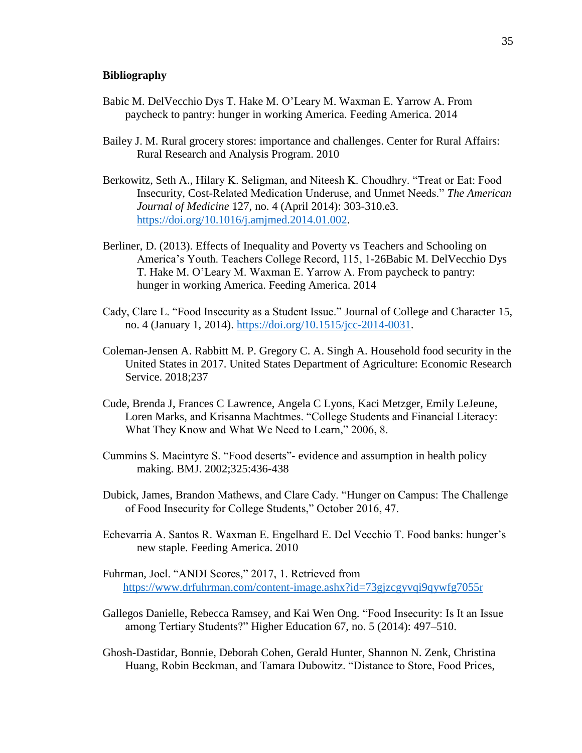#### **Bibliography**

- Babic M. DelVecchio Dys T. Hake M. O'Leary M. Waxman E. Yarrow A. From paycheck to pantry: hunger in working America. Feeding America. 2014
- Bailey J. M. Rural grocery stores: importance and challenges. Center for Rural Affairs: Rural Research and Analysis Program. 2010
- Berkowitz, Seth A., Hilary K. Seligman, and Niteesh K. Choudhry. "Treat or Eat: Food Insecurity, Cost-Related Medication Underuse, and Unmet Needs." *The American Journal of Medicine* 127, no. 4 (April 2014): 303-310.e3. [https://doi.org/10.1016/j.amjmed.2014.01.002.](https://doi.org/10.1016/j.amjmed.2014.01.002)
- Berliner, D. (2013). Effects of Inequality and Poverty vs Teachers and Schooling on America's Youth. Teachers College Record, 115, 1-26Babic M. DelVecchio Dys T. Hake M. O'Leary M. Waxman E. Yarrow A. From paycheck to pantry: hunger in working America. Feeding America. 2014
- Cady, Clare L. "Food Insecurity as a Student Issue." Journal of College and Character 15, no. 4 (January 1, 2014). [https://doi.org/10.1515/jcc-2014-0031.](https://doi.org/10.1515/jcc-2014-0031)
- Coleman-Jensen A. Rabbitt M. P. Gregory C. A. Singh A. Household food security in the United States in 2017. United States Department of Agriculture: Economic Research Service. 2018;237
- Cude, Brenda J, Frances C Lawrence, Angela C Lyons, Kaci Metzger, Emily LeJeune, Loren Marks, and Krisanna Machtmes. "College Students and Financial Literacy: What They Know and What We Need to Learn," 2006, 8.
- Cummins S. Macintyre S. "Food deserts"- evidence and assumption in health policy making. BMJ. 2002;325:436-438
- Dubick, James, Brandon Mathews, and Clare Cady. "Hunger on Campus: The Challenge of Food Insecurity for College Students," October 2016, 47.
- Echevarria A. Santos R. Waxman E. Engelhard E. Del Vecchio T. Food banks: hunger's new staple. Feeding America. 2010
- Fuhrman, Joel. "ANDI Scores," 2017, 1. Retrieved from <https://www.drfuhrman.com/content-image.ashx?id=73gjzcgyvqi9qywfg7055r>
- Gallegos Danielle, Rebecca Ramsey, and Kai Wen Ong. "Food Insecurity: Is It an Issue among Tertiary Students?" Higher Education 67, no. 5 (2014): 497–510.
- Ghosh-Dastidar, Bonnie, Deborah Cohen, Gerald Hunter, Shannon N. Zenk, Christina Huang, Robin Beckman, and Tamara Dubowitz. "Distance to Store, Food Prices,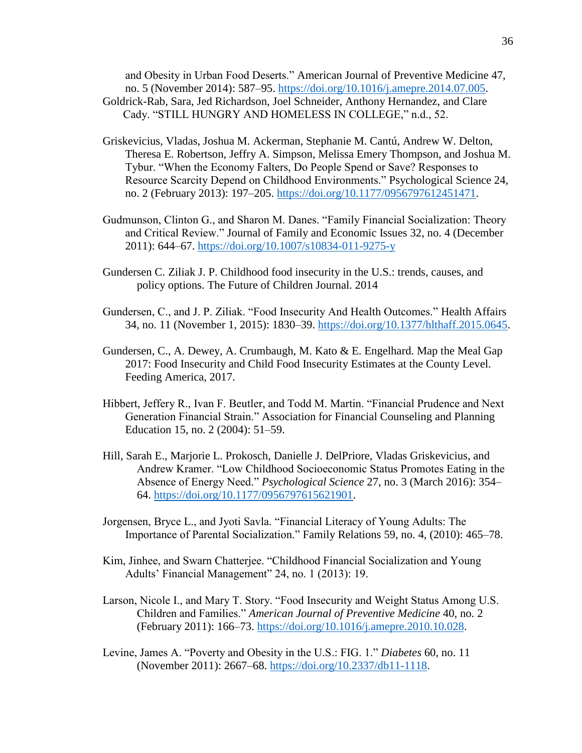and Obesity in Urban Food Deserts." American Journal of Preventive Medicine 47, no. 5 (November 2014): 587–95. [https://doi.org/10.1016/j.amepre.2014.07.005.](https://doi.org/10.1016/j.amepre.2014.07.005)

- Goldrick-Rab, Sara, Jed Richardson, Joel Schneider, Anthony Hernandez, and Clare Cady. "STILL HUNGRY AND HOMELESS IN COLLEGE," n.d., 52.
- Griskevicius, Vladas, Joshua M. Ackerman, Stephanie M. Cantú, Andrew W. Delton, Theresa E. Robertson, Jeffry A. Simpson, Melissa Emery Thompson, and Joshua M. Tybur. "When the Economy Falters, Do People Spend or Save? Responses to Resource Scarcity Depend on Childhood Environments." Psychological Science 24, no. 2 (February 2013): 197–205. [https://doi.org/10.1177/0956797612451471.](https://doi.org/10.1177/0956797612451471)
- Gudmunson, Clinton G., and Sharon M. Danes. "Family Financial Socialization: Theory and Critical Review." Journal of Family and Economic Issues 32, no. 4 (December 2011): 644–67.<https://doi.org/10.1007/s10834-011-9275-y>
- Gundersen C. Ziliak J. P. Childhood food insecurity in the U.S.: trends, causes, and policy options. The Future of Children Journal. 2014
- Gundersen, C., and J. P. Ziliak. "Food Insecurity And Health Outcomes." Health Affairs 34, no. 11 (November 1, 2015): 1830–39. [https://doi.org/10.1377/hlthaff.2015.0645.](https://doi.org/10.1377/hlthaff.2015.0645)
- Gundersen, C., A. Dewey, A. Crumbaugh, M. Kato & E. Engelhard. Map the Meal Gap 2017: Food Insecurity and Child Food Insecurity Estimates at the County Level. Feeding America, 2017.
- Hibbert, Jeffery R., Ivan F. Beutler, and Todd M. Martin. "Financial Prudence and Next Generation Financial Strain." Association for Financial Counseling and Planning Education 15, no. 2 (2004): 51–59.
- Hill, Sarah E., Marjorie L. Prokosch, Danielle J. DelPriore, Vladas Griskevicius, and Andrew Kramer. "Low Childhood Socioeconomic Status Promotes Eating in the Absence of Energy Need." *Psychological Science* 27, no. 3 (March 2016): 354– 64. [https://doi.org/10.1177/0956797615621901.](https://doi.org/10.1177/0956797615621901)
- Jorgensen, Bryce L., and Jyoti Savla. "Financial Literacy of Young Adults: The Importance of Parental Socialization." Family Relations 59, no. 4, (2010): 465–78.
- Kim, Jinhee, and Swarn Chatterjee. "Childhood Financial Socialization and Young Adults' Financial Management" 24, no. 1 (2013): 19.
- Larson, Nicole I., and Mary T. Story. "Food Insecurity and Weight Status Among U.S. Children and Families." *American Journal of Preventive Medicine* 40, no. 2 (February 2011): 166–73. [https://doi.org/10.1016/j.amepre.2010.10.028.](https://doi.org/10.1016/j.amepre.2010.10.028)
- Levine, James A. "Poverty and Obesity in the U.S.: FIG. 1." *Diabetes* 60, no. 11 (November 2011): 2667–68. [https://doi.org/10.2337/db11-1118.](https://doi.org/10.2337/db11-1118)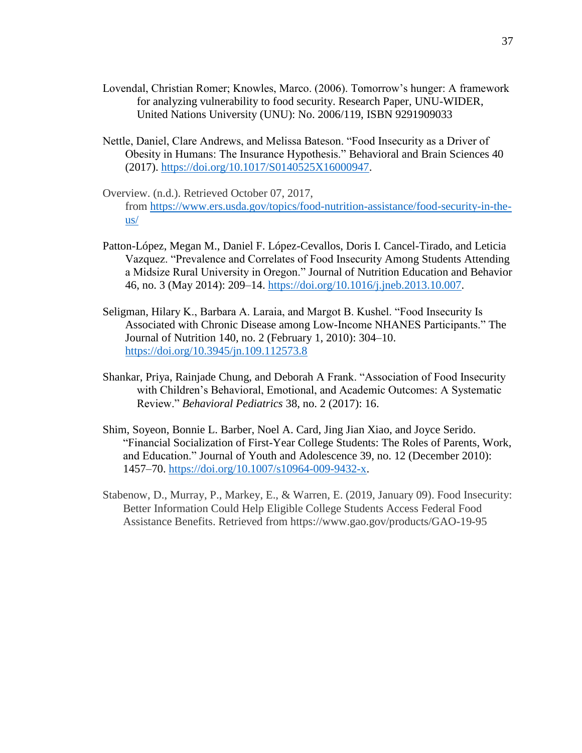- Lovendal, Christian Romer; Knowles, Marco. (2006). Tomorrow's hunger: A framework for analyzing vulnerability to food security. Research Paper, UNU-WIDER, United Nations University (UNU): No. 2006/119, ISBN 9291909033
- Nettle, Daniel, Clare Andrews, and Melissa Bateson. "Food Insecurity as a Driver of Obesity in Humans: The Insurance Hypothesis." Behavioral and Brain Sciences 40 (2017). [https://doi.org/10.1017/S0140525X16000947.](https://doi.org/10.1017/S0140525X16000947)
- Overview. (n.d.). Retrieved October 07, 2017, from [https://www.ers.usda.gov/topics/food-nutrition-assistance/food-security-in-the](https://www.ers.usda.gov/topics/food-nutrition-assistance/food-security-in-the-us/)[us/](https://www.ers.usda.gov/topics/food-nutrition-assistance/food-security-in-the-us/)
- Patton-López, Megan M., Daniel F. López-Cevallos, Doris I. Cancel-Tirado, and Leticia Vazquez. "Prevalence and Correlates of Food Insecurity Among Students Attending a Midsize Rural University in Oregon." Journal of Nutrition Education and Behavior 46, no. 3 (May 2014): 209–14. [https://doi.org/10.1016/j.jneb.2013.10.007.](https://doi.org/10.1016/j.jneb.2013.10.007)
- Seligman, Hilary K., Barbara A. Laraia, and Margot B. Kushel. "Food Insecurity Is Associated with Chronic Disease among Low-Income NHANES Participants." The Journal of Nutrition 140, no. 2 (February 1, 2010): 304–10. <https://doi.org/10.3945/jn.109.112573.8>
- Shankar, Priya, Rainjade Chung, and Deborah A Frank. "Association of Food Insecurity with Children's Behavioral, Emotional, and Academic Outcomes: A Systematic Review." *Behavioral Pediatrics* 38, no. 2 (2017): 16.
- Shim, Soyeon, Bonnie L. Barber, Noel A. Card, Jing Jian Xiao, and Joyce Serido. "Financial Socialization of First-Year College Students: The Roles of Parents, Work, and Education." Journal of Youth and Adolescence 39, no. 12 (December 2010): 1457–70. [https://doi.org/10.1007/s10964-009-9432-x.](https://doi.org/10.1007/s10964-009-9432-x)
- Stabenow, D., Murray, P., Markey, E., & Warren, E. (2019, January 09). Food Insecurity: Better Information Could Help Eligible College Students Access Federal Food Assistance Benefits. Retrieved from https://www.gao.gov/products/GAO-19-95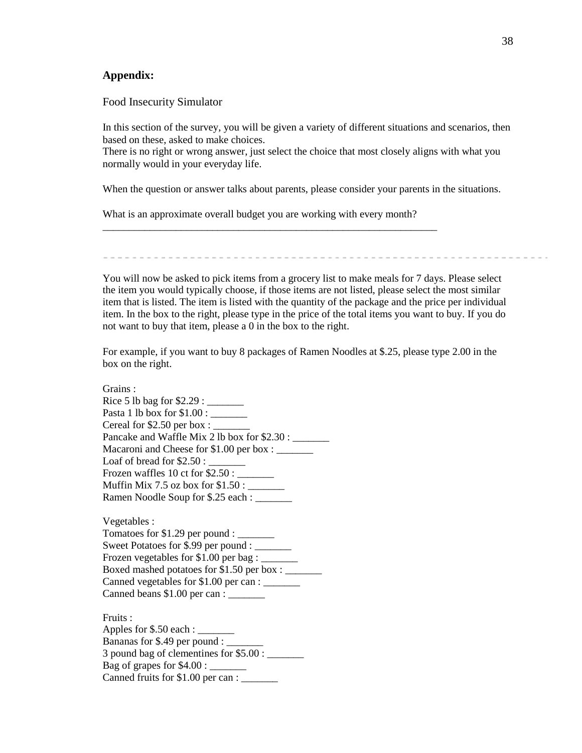#### **Appendix:**

Food Insecurity Simulator

In this section of the survey, you will be given a variety of different situations and scenarios, then based on these, asked to make choices.

There is no right or wrong answer, just select the choice that most closely aligns with what you normally would in your everyday life.

When the question or answer talks about parents, please consider your parents in the situations.

What is an approximate overall budget you are working with every month?

\_\_\_\_\_\_\_\_\_\_\_\_\_\_\_\_\_\_\_\_\_\_\_\_\_\_\_\_\_\_\_\_\_\_\_\_\_\_\_\_\_\_\_\_\_\_\_\_\_\_\_\_\_\_\_\_\_\_\_\_\_\_\_\_

You will now be asked to pick items from a grocery list to make meals for 7 days. Please select the item you would typically choose, if those items are not listed, please select the most similar item that is listed. The item is listed with the quantity of the package and the price per individual item. In the box to the right, please type in the price of the total items you want to buy. If you do not want to buy that item, please a 0 in the box to the right.

For example, if you want to buy 8 packages of Ramen Noodles at \$.25, please type 2.00 in the box on the right.

Grains : Rice 5 lb bag for \$2.29 : \_\_\_\_\_\_\_ Pasta 1 lb box for \$1.00 : \_\_\_\_\_\_\_ Cereal for  $$2.50$  per box : Pancake and Waffle Mix 2 lb box for \$2.30 : Macaroni and Cheese for \$1.00 per box : \_\_\_\_\_\_\_ Loaf of bread for  $$2.50:$ Frozen waffles  $10$  ct for  $$2.50$ : Muffin Mix 7.5 oz box for \$1.50 : \_\_\_\_\_\_ Ramen Noodle Soup for \$.25 each : \_\_\_\_\_\_\_

Vegetables : Tomatoes for  $$1.29$  per pound : \_\_\_\_\_\_\_\_ Sweet Potatoes for \$.99 per pound : Frozen vegetables for \$1.00 per bag : \_\_\_\_\_\_\_ Boxed mashed potatoes for \$1.50 per box : Canned vegetables for \$1.00 per can : \_\_\_\_\_\_\_\_\_ Canned beans  $$1.00$  per can :  $\frac{1}{1}$ 

Fruits : Apples for  $$.50$  each :  $\_\_$ Bananas for \$.49 per pound : 3 pound bag of clementines for \$5.00 : Bag of grapes for  $$4.00:$ Canned fruits for \$1.00 per can : \_\_\_\_\_\_\_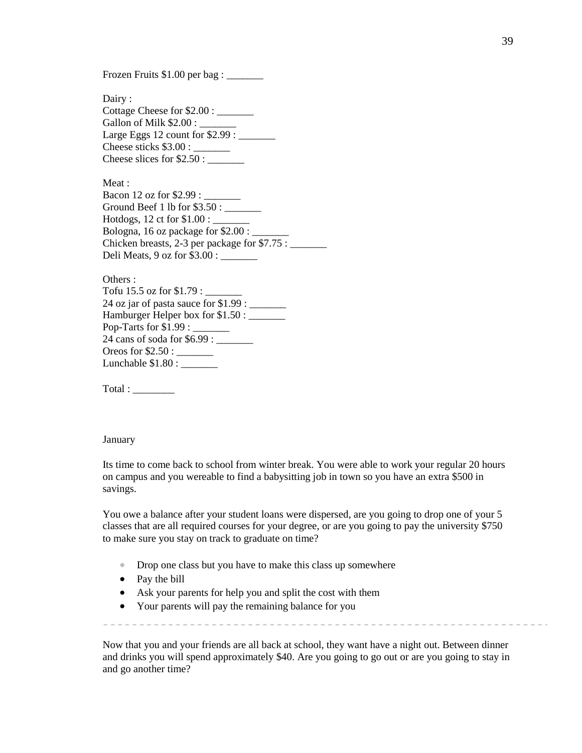Frozen Fruits \$1.00 per bag : \_\_\_\_\_\_\_

Dairy : Cottage Cheese for \$2.00 : \_\_\_\_\_\_\_ Gallon of Milk \$2.00 : Large Eggs  $12$  count for  $$2.99$ : Cheese sticks \$3.00 : \_\_\_\_\_\_\_ Cheese slices for  $$2.50:$ 

Meat : Bacon 12 oz for \$2.99 : \_\_\_\_\_\_\_ Ground Beef 1 lb for \$3.50 : \_\_\_\_\_\_\_ Hotdogs, 12 ct for \$1.00 : \_\_\_\_\_\_\_ Bologna, 16 oz package for \$2.00 : Chicken breasts, 2-3 per package for \$7.75 : \_\_\_\_\_\_\_ Deli Meats, 9 oz for \$3.00 : \_\_\_\_\_\_\_

Others : Tofu 15.5 oz for \$1.79 : \_\_\_\_\_\_\_ 24 oz jar of pasta sauce for \$1.99 : \_\_\_\_\_\_ Hamburger Helper box for  $$1.50$ : Pop-Tarts for \$1.99 : \_\_\_\_\_\_\_ 24 cans of soda for \$6.99 : \_\_\_\_\_\_\_ Oreos for \$2.50 : \_\_\_\_\_\_\_\_\_ Lunchable  $$1.80:$ 

Total :

#### January

Its time to come back to school from winter break. You were able to work your regular 20 hours on campus and you wereable to find a babysitting job in town so you have an extra \$500 in savings.

You owe a balance after your student loans were dispersed, are you going to drop one of your 5 classes that are all required courses for your degree, or are you going to pay the university \$750 to make sure you stay on track to graduate on time?

- Drop one class but you have to make this class up somewhere
- Pay the bill
- Ask your parents for help you and split the cost with them
- Your parents will pay the remaining balance for you

Now that you and your friends are all back at school, they want have a night out. Between dinner and drinks you will spend approximately \$40. Are you going to go out or are you going to stay in and go another time?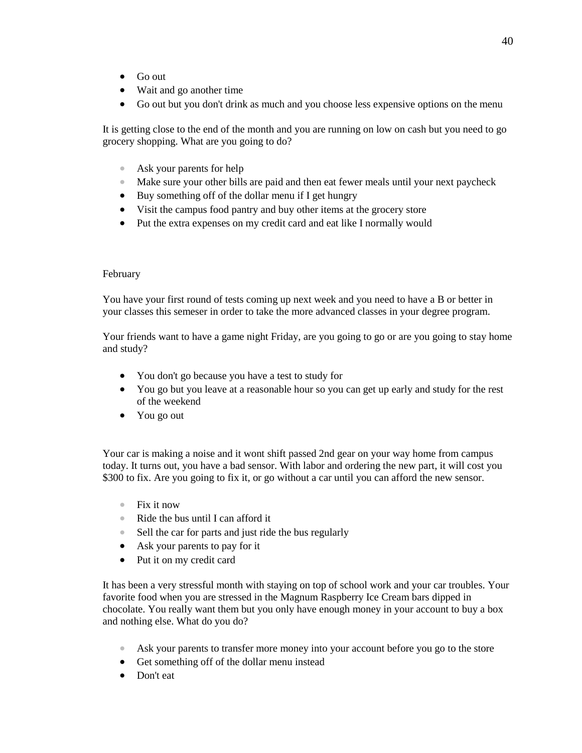- Go out
- Wait and go another time
- Go out but you don't drink as much and you choose less expensive options on the menu

It is getting close to the end of the month and you are running on low on cash but you need to go grocery shopping. What are you going to do?

- Ask your parents for help
- Make sure your other bills are paid and then eat fewer meals until your next paycheck
- Buy something off of the dollar menu if I get hungry
- Visit the campus food pantry and buy other items at the grocery store
- Put the extra expenses on my credit card and eat like I normally would

#### February

You have your first round of tests coming up next week and you need to have a B or better in your classes this semeser in order to take the more advanced classes in your degree program.

Your friends want to have a game night Friday, are you going to go or are you going to stay home and study?

- You don't go because you have a test to study for
- You go but you leave at a reasonable hour so you can get up early and study for the rest of the weekend
- You go out

Your car is making a noise and it wont shift passed 2nd gear on your way home from campus today. It turns out, you have a bad sensor. With labor and ordering the new part, it will cost you \$300 to fix. Are you going to fix it, or go without a car until you can afford the new sensor.

- Fix it now
- Ride the bus until I can afford it
- Sell the car for parts and just ride the bus regularly
- Ask your parents to pay for it
- Put it on my credit card

It has been a very stressful month with staying on top of school work and your car troubles. Your favorite food when you are stressed in the Magnum Raspberry Ice Cream bars dipped in chocolate. You really want them but you only have enough money in your account to buy a box and nothing else. What do you do?

- Ask your parents to transfer more money into your account before you go to the store
- Get something off of the dollar menu instead
- Don't eat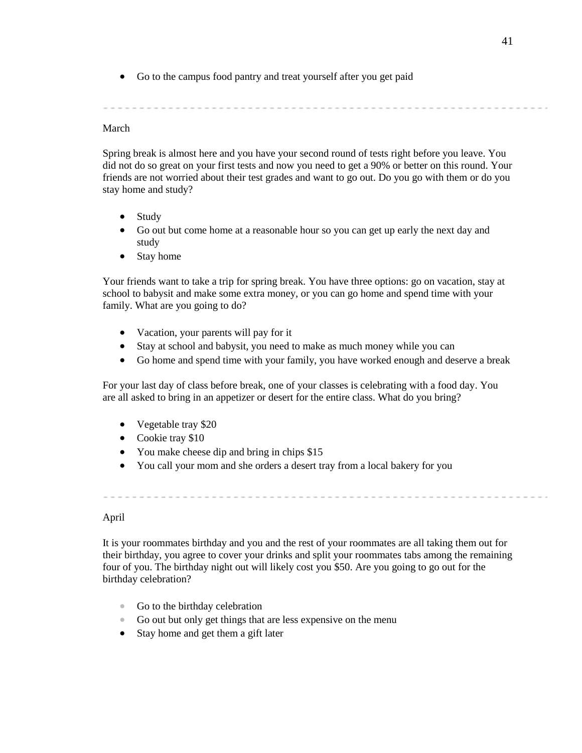• Go to the campus food pantry and treat yourself after you get paid

#### March

Spring break is almost here and you have your second round of tests right before you leave. You did not do so great on your first tests and now you need to get a 90% or better on this round. Your friends are not worried about their test grades and want to go out. Do you go with them or do you stay home and study?

- Study
- Go out but come home at a reasonable hour so you can get up early the next day and study
- Stay home

Your friends want to take a trip for spring break. You have three options: go on vacation, stay at school to babysit and make some extra money, or you can go home and spend time with your family. What are you going to do?

- Vacation, your parents will pay for it
- Stay at school and babysit, you need to make as much money while you can
- Go home and spend time with your family, you have worked enough and deserve a break

For your last day of class before break, one of your classes is celebrating with a food day. You are all asked to bring in an appetizer or desert for the entire class. What do you bring?

- Vegetable tray \$20
- Cookie tray \$10
- You make cheese dip and bring in chips \$15
- You call your mom and she orders a desert tray from a local bakery for you

April

It is your roommates birthday and you and the rest of your roommates are all taking them out for their birthday, you agree to cover your drinks and split your roommates tabs among the remaining four of you. The birthday night out will likely cost you \$50. Are you going to go out for the birthday celebration?

- Go to the birthday celebration
- Go out but only get things that are less expensive on the menu
- Stay home and get them a gift later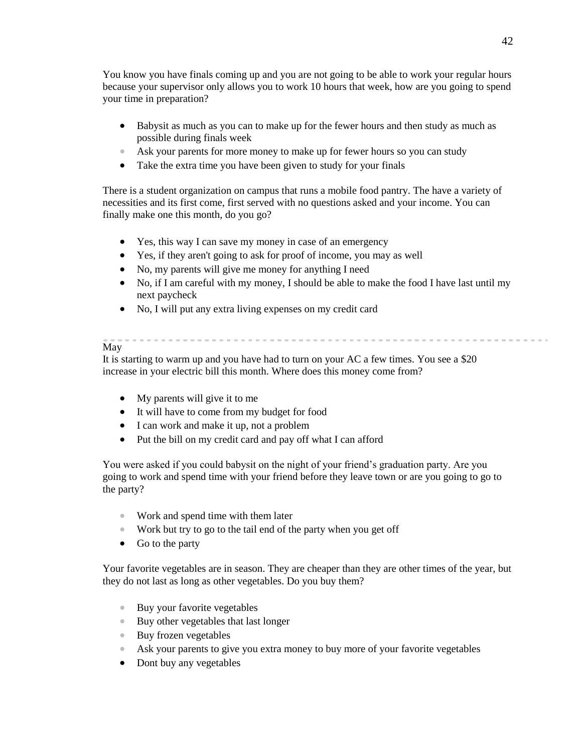You know you have finals coming up and you are not going to be able to work your regular hours because your supervisor only allows you to work 10 hours that week, how are you going to spend your time in preparation?

- Babysit as much as you can to make up for the fewer hours and then study as much as possible during finals week
- Ask your parents for more money to make up for fewer hours so you can study
- Take the extra time you have been given to study for your finals

There is a student organization on campus that runs a mobile food pantry. The have a variety of necessities and its first come, first served with no questions asked and your income. You can finally make one this month, do you go?

- Yes, this way I can save my money in case of an emergency
- Yes, if they aren't going to ask for proof of income, you may as well
- No, my parents will give me money for anything I need
- No, if I am careful with my money, I should be able to make the food I have last until my next paycheck
- No, I will put any extra living expenses on my credit card

#### May

It is starting to warm up and you have had to turn on your AC a few times. You see a \$20 increase in your electric bill this month. Where does this money come from?

- My parents will give it to me
- It will have to come from my budget for food
- I can work and make it up, not a problem
- Put the bill on my credit card and pay off what I can afford

You were asked if you could babysit on the night of your friend's graduation party. Are you going to work and spend time with your friend before they leave town or are you going to go to the party?

- Work and spend time with them later
- Work but try to go to the tail end of the party when you get off
- Go to the party

Your favorite vegetables are in season. They are cheaper than they are other times of the year, but they do not last as long as other vegetables. Do you buy them?

- Buy your favorite vegetables
- Buy other vegetables that last longer
- Buy frozen vegetables
- Ask your parents to give you extra money to buy more of your favorite vegetables
- Dont buy any vegetables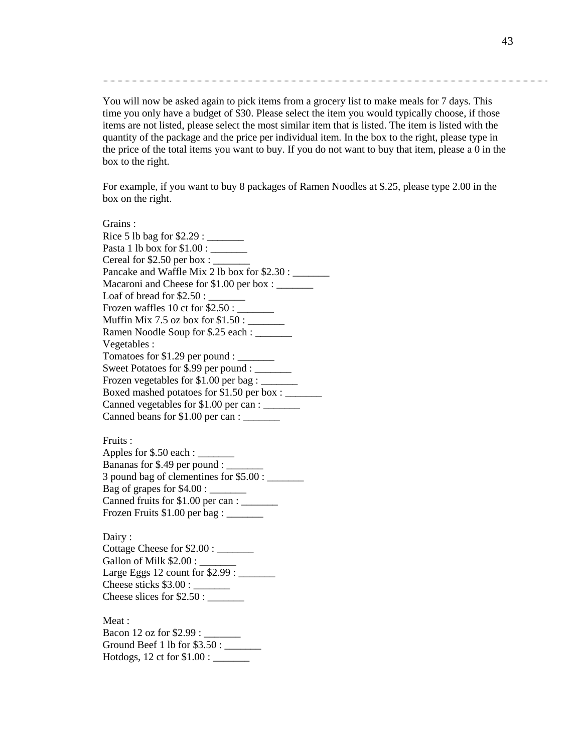You will now be asked again to pick items from a grocery list to make meals for 7 days. This time you only have a budget of \$30. Please select the item you would typically choose, if those items are not listed, please select the most similar item that is listed. The item is listed with the quantity of the package and the price per individual item. In the box to the right, please type in the price of the total items you want to buy. If you do not want to buy that item, please a 0 in the box to the right.

For example, if you want to buy 8 packages of Ramen Noodles at \$.25, please type 2.00 in the box on the right.

Grains : Rice 5 lb bag for  $$2.29$  : Pasta 1 lb box for \$1.00 : \_\_\_\_\_\_\_ Cereal for  $$2.50$  per box : Pancake and Waffle Mix 2 lb box for \$2.30 : Macaroni and Cheese for \$1.00 per box : \_\_\_\_\_\_\_\_\_ Loaf of bread for  $$2.50:$ Frozen waffles  $10$  ct for  $$2.50$ : Muffin Mix 7.5 oz box for  $$1.50$ : Ramen Noodle Soup for \$.25 each : Vegetables : Tomatoes for \$1.29 per pound : \_\_\_\_\_\_\_ Sweet Potatoes for \$.99 per pound : Frozen vegetables for \$1.00 per bag : \_\_\_\_\_\_\_ Boxed mashed potatoes for \$1.50 per box : \_\_\_\_\_\_\_ Canned vegetables for \$1.00 per can : \_\_\_\_\_\_\_ Canned beans for \$1.00 per can : \_\_\_\_\_\_\_ Fruits : Apples for  $$.50$  each :  $\_\_$ Bananas for \$.49 per pound : 3 pound bag of clementines for  $$5.00:$ Bag of grapes for \$4.00 : \_\_\_\_\_\_\_ Canned fruits for \$1.00 per can : \_\_\_\_\_\_\_ Frozen Fruits \$1.00 per bag : \_\_\_\_\_\_ Dairy: Cottage Cheese for \$2.00 : \_\_\_\_\_\_\_ Gallon of Milk \$2.00 : Large Eggs 12 count for \$2.99 : \_\_\_\_\_\_\_ Cheese sticks \$3.00 : \_\_\_\_\_\_\_\_ Cheese slices for  $$2.50:$ 

Meat : Bacon 12 oz for \$2.99 : \_\_\_\_\_\_\_ Ground Beef 1 lb for  $$3.50:$ Hotdogs, 12 ct for \$1.00 : \_\_\_\_\_\_\_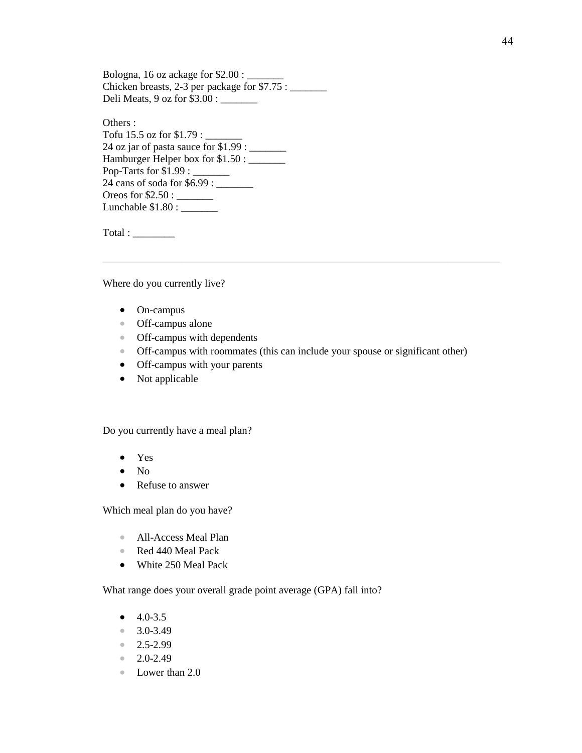Bologna, 16 oz ackage for  $$2.00:$ Chicken breasts, 2-3 per package for  $$7.75$  : Deli Meats, 9 oz for \$3.00 : \_\_\_\_\_\_\_

Others : Tofu 15.5 oz for \$1.79 : \_\_\_\_\_\_\_ 24 oz jar of pasta sauce for  $$1.99:$ Hamburger Helper box for \$1.50 : \_\_\_\_\_\_\_ Pop-Tarts for \$1.99 : \_\_\_\_\_\_\_ 24 cans of soda for \$6.99 : \_\_\_\_\_\_\_ Oreos for \$2.50 : \_\_\_\_\_\_\_ Lunchable \$1.80 : \_\_\_\_\_\_\_

Total :

Where do you currently live?

- On-campus
- Off-campus alone
- Off-campus with dependents
- Off-campus with roommates (this can include your spouse or significant other)
- Off-campus with your parents
- Not applicable

Do you currently have a meal plan?

- Yes
- No
- Refuse to answer

Which meal plan do you have?

- All-Access Meal Plan
- Red 440 Meal Pack
- White 250 Meal Pack

What range does your overall grade point average (GPA) fall into?

- $\bullet$  4.0-3.5
- 3.0-3.49
- $2.5 2.99$
- $2.0 2.49$
- Lower than 2.0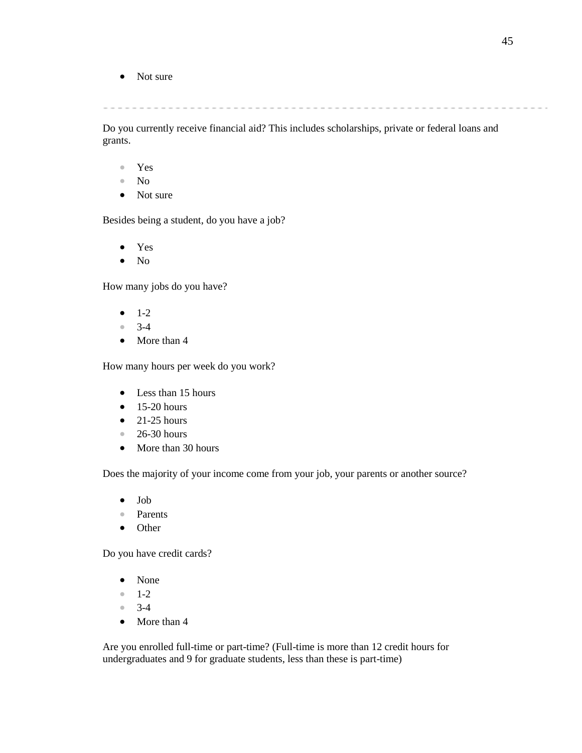• Not sure

and the control of

Do you currently receive financial aid? This includes scholarships, private or federal loans and grants.

- Yes
- No
- Not sure

Besides being a student, do you have a job?

- Yes
- No

How many jobs do you have?

- $-1-2$
- 3-4
- More than 4

How many hours per week do you work?

- Less than 15 hours
- $\bullet$  15-20 hours
- $\bullet$  21-25 hours
- 26-30 hours
- More than 30 hours

Does the majority of your income come from your job, your parents or another source?

- Job
- Parents
- Other

Do you have credit cards?

- None
- 1-2
- 3-4
- More than 4

Are you enrolled full-time or part-time? (Full-time is more than 12 credit hours for undergraduates and 9 for graduate students, less than these is part-time)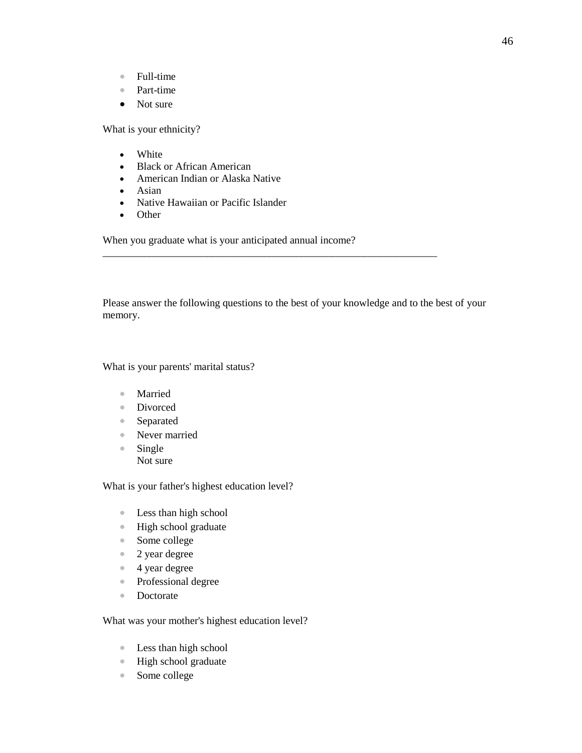- Full-time
- Part-time
- Not sure

What is your ethnicity?

- White
- Black or African American
- American Indian or Alaska Native
- Asian
- Native Hawaiian or Pacific Islander
- Other

When you graduate what is your anticipated annual income?

Please answer the following questions to the best of your knowledge and to the best of your memory.

\_\_\_\_\_\_\_\_\_\_\_\_\_\_\_\_\_\_\_\_\_\_\_\_\_\_\_\_\_\_\_\_\_\_\_\_\_\_\_\_\_\_\_\_\_\_\_\_\_\_\_\_\_\_\_\_\_\_\_\_\_\_\_\_

What is your parents' marital status?

- Married
- Divorced
- Separated
- Never married
- Single Not sure

What is your father's highest education level?

- Less than high school
- High school graduate
- Some college
- 2 year degree
- 4 year degree
- Professional degree
- Doctorate

What was your mother's highest education level?

- Less than high school
- High school graduate
- Some college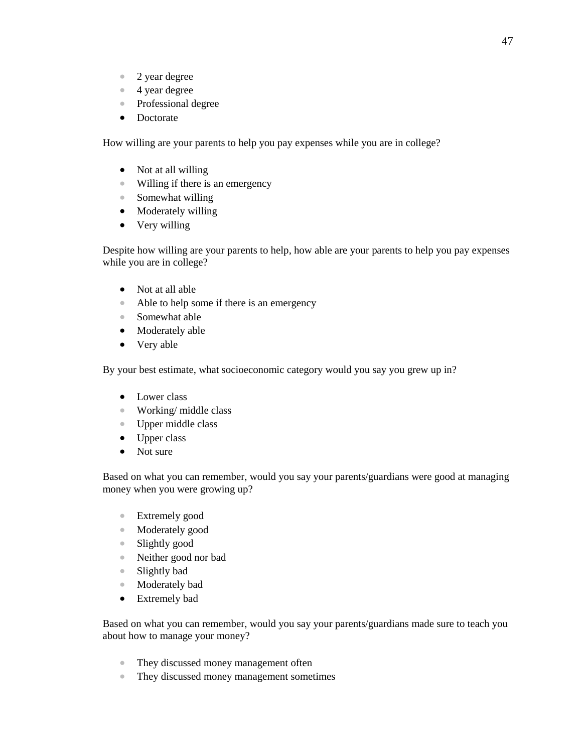- 2 year degree
- 4 year degree
- Professional degree
- Doctorate

How willing are your parents to help you pay expenses while you are in college?

- Not at all willing
- Willing if there is an emergency
- Somewhat willing
- Moderately willing
- Very willing

Despite how willing are your parents to help, how able are your parents to help you pay expenses while you are in college?

- Not at all able
- Able to help some if there is an emergency
- Somewhat able
- Moderately able
- Very able

By your best estimate, what socioeconomic category would you say you grew up in?

- Lower class
- Working/middle class
- Upper middle class
- Upper class
- Not sure

Based on what you can remember, would you say your parents/guardians were good at managing money when you were growing up?

- Extremely good
- Moderately good
- Slightly good
- Neither good nor bad
- Slightly bad
- Moderately bad
- Extremely bad

Based on what you can remember, would you say your parents/guardians made sure to teach you about how to manage your money?

- They discussed money management often
- They discussed money management sometimes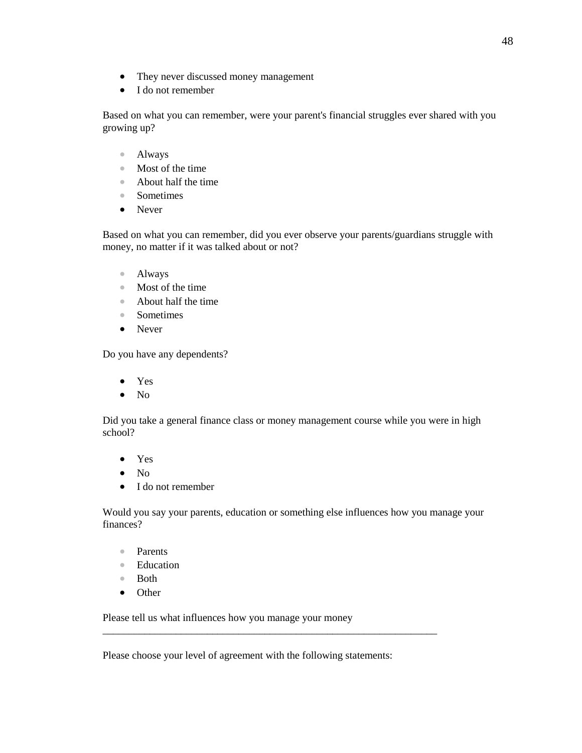- They never discussed money management
- I do not remember

Based on what you can remember, were your parent's financial struggles ever shared with you growing up?

- Always
- Most of the time
- About half the time
- Sometimes
- Never

Based on what you can remember, did you ever observe your parents/guardians struggle with money, no matter if it was talked about or not?

- Always
- Most of the time
- About half the time
- Sometimes
- Never

Do you have any dependents?

- Yes
- No

Did you take a general finance class or money management course while you were in high school?

- Yes
- $\bullet$  No
- I do not remember

Would you say your parents, education or something else influences how you manage your finances?

- Parents
- Education
- Both
- Other

Please tell us what influences how you manage your money

Please choose your level of agreement with the following statements:

\_\_\_\_\_\_\_\_\_\_\_\_\_\_\_\_\_\_\_\_\_\_\_\_\_\_\_\_\_\_\_\_\_\_\_\_\_\_\_\_\_\_\_\_\_\_\_\_\_\_\_\_\_\_\_\_\_\_\_\_\_\_\_\_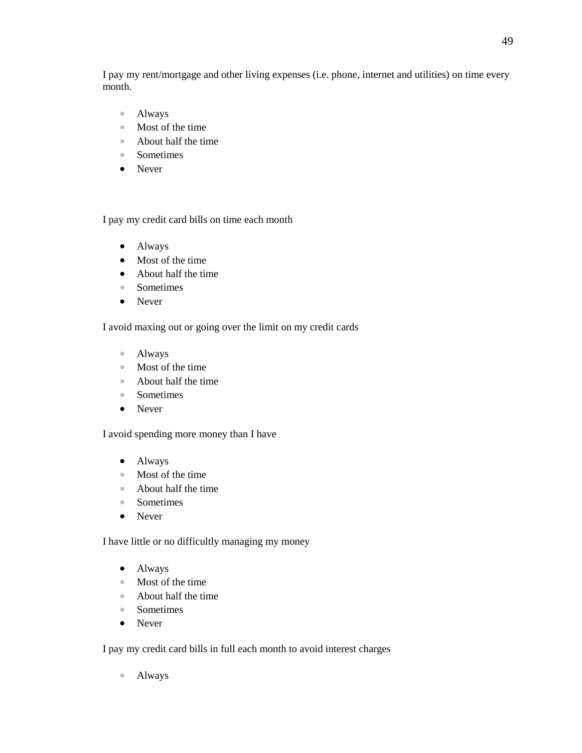I pay my rent/mortgage and other living expenses (i.e. phone, internet and utilities) on time every month.

- Always
- Most of the time
- About half the time
- Sometimes
- Never

I pay my credit card bills on time each month

- Always
- Most of the time
- About half the time
- Sometimes
- Never

I avoid maxing out or going over the limit on my credit cards

- Always
- Most of the time
- About half the time
- Sometimes
- Never

I avoid spending more money than I have

- Always
- Most of the time
- About half the time
- Sometimes
- Never

I have little or no difficultly managing my money

- Always
- Most of the time
- About half the time
- Sometimes
- Never

I pay my credit card bills in full each month to avoid interest charges

• Always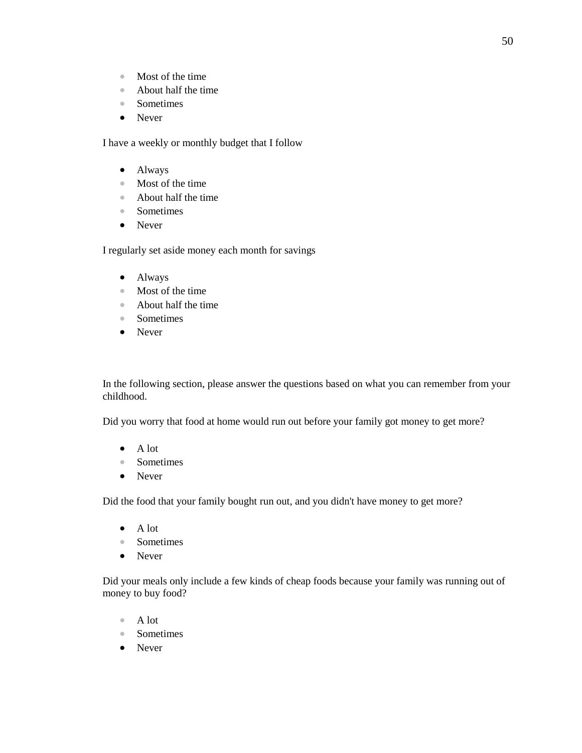- Most of the time
- About half the time
- Sometimes
- Never

I have a weekly or monthly budget that I follow

- Always
- Most of the time
- About half the time
- Sometimes
- Never

I regularly set aside money each month for savings

- Always
- Most of the time
- About half the time
- Sometimes
- Never

In the following section, please answer the questions based on what you can remember from your childhood.

Did you worry that food at home would run out before your family got money to get more?

- A lot
- Sometimes
- Never

Did the food that your family bought run out, and you didn't have money to get more?

- A lot
- Sometimes
- Never

Did your meals only include a few kinds of cheap foods because your family was running out of money to buy food?

- A lot
- Sometimes
- Never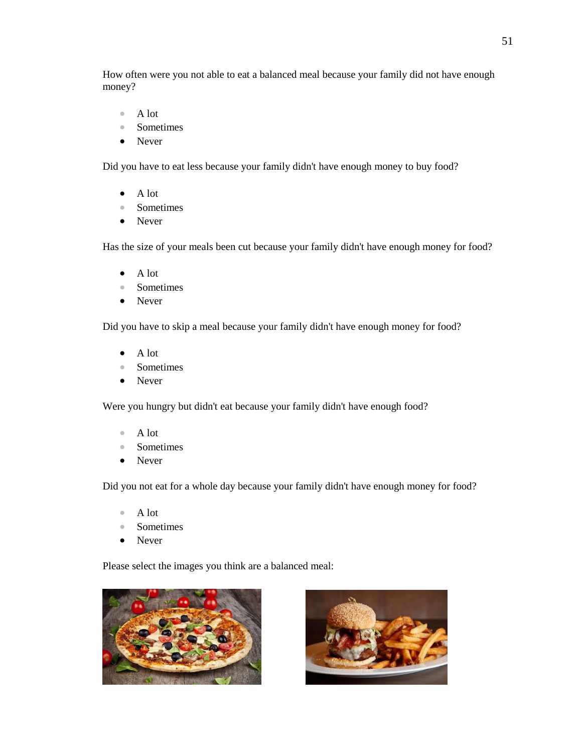How often were you not able to eat a balanced meal because your family did not have enough money?

- A lot
- Sometimes
- Never

Did you have to eat less because your family didn't have enough money to buy food?

- A lot
- Sometimes
- Never

Has the size of your meals been cut because your family didn't have enough money for food?

- A lot
- Sometimes
- Never

Did you have to skip a meal because your family didn't have enough money for food?

- A lot
- Sometimes
- Never

Were you hungry but didn't eat because your family didn't have enough food?

- A lot
- Sometimes
- Never

Did you not eat for a whole day because your family didn't have enough money for food?

- A lot
- Sometimes
- Never

Please select the images you think are a balanced meal:



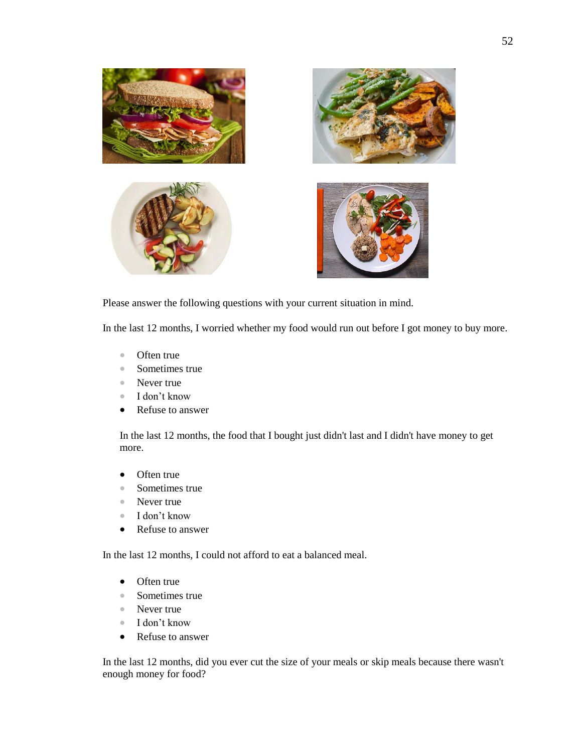

Please answer the following questions with your current situation in mind.

In the last 12 months, I worried whether my food would run out before I got money to buy more.

- Often true
- Sometimes true
- Never true
- I don't know
- Refuse to answer

In the last 12 months, the food that I bought just didn't last and I didn't have money to get more.

- Often true
- Sometimes true
- Never true
- I don't know
- Refuse to answer

In the last 12 months, I could not afford to eat a balanced meal.

- Often true
- Sometimes true
- Never true
- I don't know
- Refuse to answer

In the last 12 months, did you ever cut the size of your meals or skip meals because there wasn't enough money for food?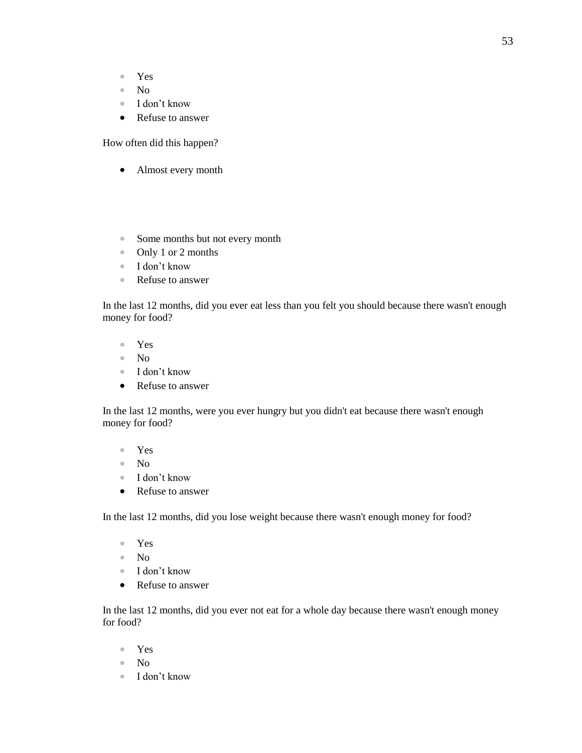- Yes
- No
- I don't know
- Refuse to answer

How often did this happen?

- Almost every month
- Some months but not every month
- Only 1 or 2 months
- I don't know
- Refuse to answer

In the last 12 months, did you ever eat less than you felt you should because there wasn't enough money for food?

- Yes
- No
- I don't know
- Refuse to answer

In the last 12 months, were you ever hungry but you didn't eat because there wasn't enough money for food?

- Yes
- No
- I don't know
- Refuse to answer

In the last 12 months, did you lose weight because there wasn't enough money for food?

- Yes
- No
- I don't know
- Refuse to answer

In the last 12 months, did you ever not eat for a whole day because there wasn't enough money for food?

- Yes
- No
- I don't know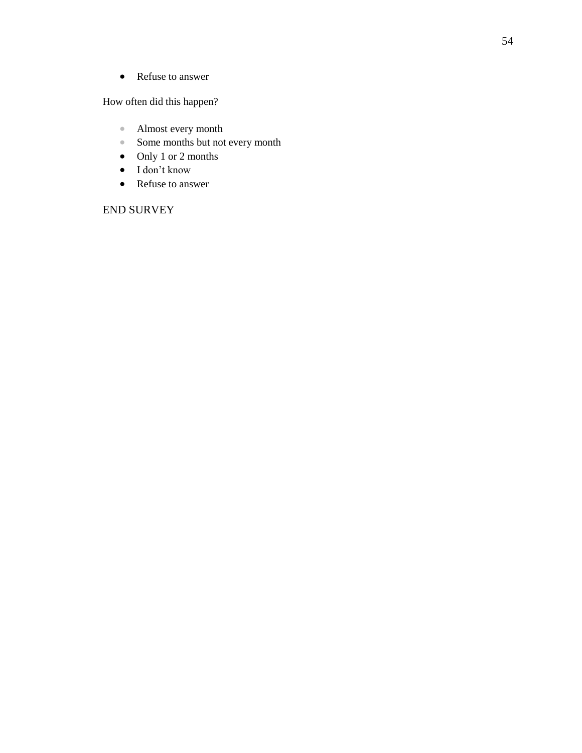• Refuse to answer

How often did this happen?

- Almost every month
- Some months but not every month
- Only 1 or 2 months
- I don't know
- Refuse to answer

#### END SURVEY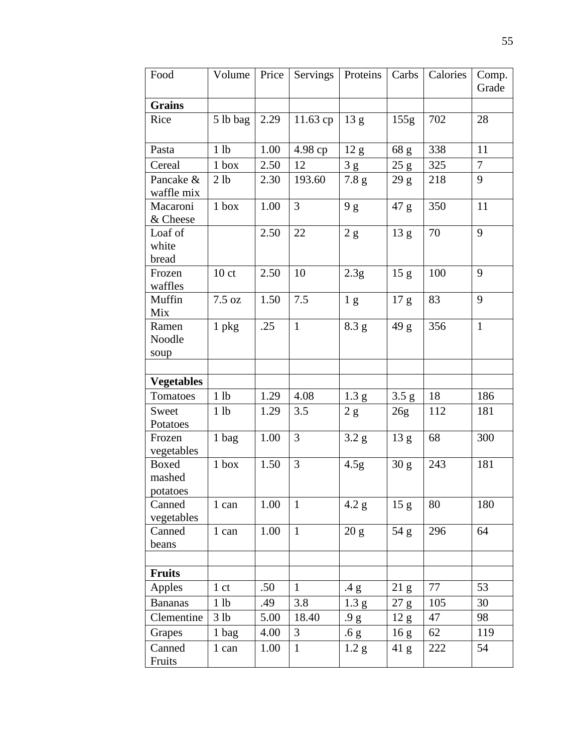| Food                               | Volume           | Price | Servings     | Proteins         | Carbs            | Calories | Comp.<br>Grade |
|------------------------------------|------------------|-------|--------------|------------------|------------------|----------|----------------|
| <b>Grains</b>                      |                  |       |              |                  |                  |          |                |
| Rice                               | 5 lb bag         | 2.29  | 11.63cp      | 13 g             | 155g             | 702      | 28             |
| Pasta                              | 1 lb             | 1.00  | 4.98 ср      | 12 <sub>g</sub>  | 68 g             | 338      | 11             |
| Cereal                             | $1$ box          | 2.50  | 12           | 3g               | 25 g             | 325      | 7              |
| Pancake &<br>waffle mix            | 2 <sub>1b</sub>  | 2.30  | 193.60       | 7.8 g            | 29 <sub>g</sub>  | 218      | 9              |
| Macaroni<br>& Cheese               | $1$ box          | 1.00  | 3            | 9g               | 47 g             | 350      | 11             |
| Loaf of<br>white<br>bread          |                  | 2.50  | 22           | $2\ \mathrm{g}$  | 13 <sub>g</sub>  | 70       | 9              |
| Frozen<br>waffles                  | 10 <sub>ct</sub> | 2.50  | 10           | 2.3g             | 15 <sub>g</sub>  | 100      | 9              |
| Muffin<br>Mix                      | 7.5 oz           | 1.50  | 7.5          | 1 <sub>g</sub>   | 17 <sub>g</sub>  | 83       | 9              |
| Ramen<br>Noodle<br>soup            | $1$ pkg          | .25   | $\mathbf{1}$ | 8.3 g            | 49 g             | 356      | $\mathbf{1}$   |
|                                    |                  |       |              |                  |                  |          |                |
| <b>Vegetables</b>                  |                  |       |              |                  |                  |          |                |
| Tomatoes                           | 1 lb             | 1.29  | 4.08         | 1.3 <sub>g</sub> | 3.5 g            | 18       | 186            |
| Sweet<br>Potatoes                  | 1 <sub>lb</sub>  | 1.29  | 3.5          | 2 g              | 26g              | 112      | 181            |
| Frozen<br>vegetables               | 1 bag            | 1.00  | 3            | 3.2 <sub>g</sub> | 13 <sub>g</sub>  | 68       | 300            |
| <b>Boxed</b><br>mashed<br>potatoes | $1$ box          | 1.50  | 3            | 4.5 <sub>g</sub> | 30 g             | 243      | 181            |
| Canned<br>vegetables               | 1 can            | 1.00  | $\mathbf{1}$ | 4.2 g            | 15 <sub>g</sub>  | 80       | 180            |
| Canned<br>beans                    | 1 can            | 1.00  | $\mathbf{1}$ | 20 g             | 54 g             | 296      | 64             |
|                                    |                  |       |              |                  |                  |          |                |
| <b>Fruits</b>                      |                  |       |              |                  |                  |          |                |
| Apples                             | 1 <sub>ct</sub>  | .50   | $\mathbf{1}$ | .4 g             | 21 <sub>g</sub>  | 77       | 53             |
| <b>Bananas</b>                     | 1 lb             | .49   | 3.8          | 1.3 <sub>g</sub> | $27\ \mathrm{g}$ | 105      | 30             |
| Clementine                         | 3 lb             | 5.00  | 18.40        | .9 g             | 12 g             | 47       | 98             |
| Grapes                             | 1 bag            | 4.00  | 3            | .6 g             | 16 <sub>g</sub>  | 62       | 119            |
| Canned<br>Fruits                   | 1 can            | 1.00  | $\mathbf{1}$ | 1.2 <sub>g</sub> | 41 g             | 222      | 54             |